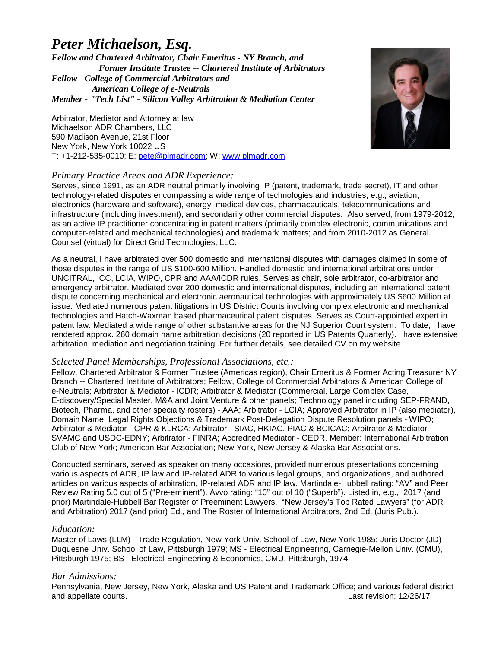# *Peter Michaelson, Esq.*

*Fellow and Chartered Arbitrator, Chair Emeritus - NY Branch, and Former Institute Trustee -- Chartered Institute of Arbitrators Fellow - College of Commercial Arbitrators and American College of e-Neutrals Member - "Tech List" - Silicon Valley Arbitration & Mediation Center*

Arbitrator, Mediator and Attorney at law Michaelson ADR Chambers, LLC 590 Madison Avenue, 21st Floor New York, New York 10022 US T: +1-212-535-0010; E: [pete@plmadr.com;](mailto:pete@plmadr.com) W: [www.plmadr.com](http://www.plmadr.com/)

# *Primary Practice Areas and ADR Experience:*

Serves, since 1991, as an ADR neutral primarily involving IP (patent, trademark, trade secret), IT and other technology-related disputes encompassing a wide range of technologies and industries, e.g., aviation, electronics (hardware and software), energy, medical devices, pharmaceuticals, telecommunications and infrastructure (including investment); and secondarily other commercial disputes. Also served, from 1979-2012, as an active IP practitioner concentrating in patent matters (primarily complex electronic, communications and computer-related and mechanical technologies) and trademark matters; and from 2010-2012 as General Counsel (virtual) for Direct Grid Technologies, LLC.

As a neutral, I have arbitrated over 500 domestic and international disputes with damages claimed in some of those disputes in the range of US \$100-600 Million. Handled domestic and international arbitrations under UNCITRAL, ICC, LCIA, WIPO, CPR and AAA/ICDR rules. Serves as chair, sole arbitrator, co-arbitrator and emergency arbitrator. Mediated over 200 domestic and international disputes, including an international patent dispute concerning mechanical and electronic aeronautical technologies with approximately US \$600 Million at issue. Mediated numerous patent litigations in US District Courts involving complex electronic and mechanical technologies and Hatch-Waxman based pharmaceutical patent disputes. Serves as Court-appointed expert in patent law. Mediated a wide range of other substantive areas for the NJ Superior Court system. To date, I have rendered approx. 260 domain name arbitration decisions (20 reported in US Patents Quarterly). I have extensive arbitration, mediation and negotiation training. For further details, see detailed CV on my website.

# *Selected Panel Memberships, Professional Associations, etc.:*

Fellow, Chartered Arbitrator & Former Trustee (Americas region), Chair Emeritus & Former Acting Treasurer NY Branch -- Chartered Institute of Arbitrators; Fellow, College of Commercial Arbitrators & American College of e-Neutrals; Arbitrator & Mediator - ICDR; Arbitrator & Mediator (Commercial, Large Complex Case, E-discovery/Special Master, M&A and Joint Venture & other panels; Technology panel including SEP-FRAND, Biotech, Pharma. and other specialty rosters) - AAA; Arbitrator - LCIA; Approved Arbitrator in IP (also mediator), Domain Name, Legal Rights Objections & Trademark Post-Delegation Dispute Resolution panels - WIPO; Arbitrator & Mediator - CPR & KLRCA; Arbitrator - SIAC, HKIAC, PIAC & BCICAC; Arbitrator & Mediator -- SVAMC and USDC-EDNY; Arbitrator - FINRA; Accredited Mediator - CEDR. Member: International Arbitration Club of New York; American Bar Association; New York, New Jersey & Alaska Bar Associations.

Conducted seminars, served as speaker on many occasions, provided numerous presentations concerning various aspects of ADR, IP law and IP-related ADR to various legal groups, and organizations, and authored articles on various aspects of arbitration, IP-related ADR and IP law. Martindale-Hubbell rating: "AV" and Peer Review Rating 5.0 out of 5 ("Pre-eminent"). Avvo rating: "10" out of 10 ("Superb"). Listed in, e.g.,: 2017 (and prior) Martindale-Hubbell Bar Register of Preeminent Lawyers, "New Jersey's Top Rated Lawyers" (for ADR and Arbitration) 2017 (and prior) Ed., and The Roster of International Arbitrators, 2nd Ed. (Juris Pub.).

# *Education:*

Master of Laws (LLM) - Trade Regulation, New York Univ. School of Law, New York 1985; Juris Doctor (JD) - Duquesne Univ. School of Law, Pittsburgh 1979; MS - Electrical Engineering, Carnegie-Mellon Univ. (CMU), Pittsburgh 1975; BS - Electrical Engineering & Economics, CMU, Pittsburgh, 1974.

# *Bar Admissions:*

Pennsylvania, New Jersey, New York, Alaska and US Patent and Trademark Office; and various federal district and appellate courts. Last revision: 12/26/17

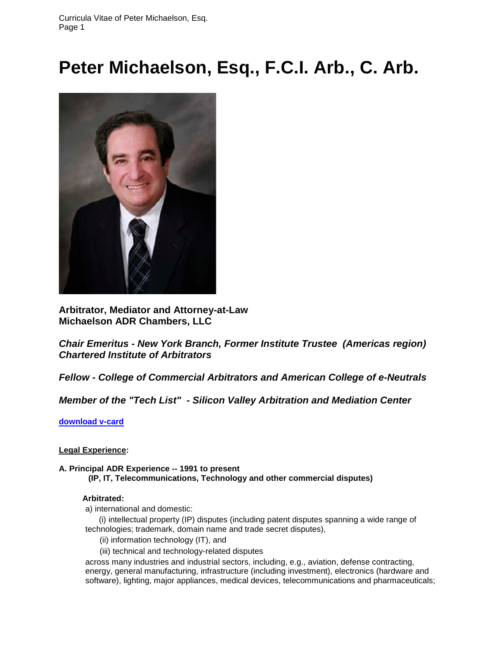# **Peter Michaelson, Esq., F.C.I. Arb., C. Arb.**



**Arbitrator, Mediator and Attorney-at-Law Michaelson ADR Chambers, LLC**

*Chair Emeritus - New York Branch, Former Institute Trustee (Americas region) Chartered Institute of Arbitrators*

*Fellow - College of Commercial Arbitrators and American College of e-Neutrals*

*Member of the "Tech List" - Silicon Valley Arbitration and Mediation Center*

**[download v-card](http://www.mandw.com/v-cards/PeterLMichaelson-adr.vcf)**

# **Legal Experience:**

**A. Principal ADR Experience -- 1991 to present (IP, IT, Telecommunications, Technology and other commercial disputes)**

# **Arbitrated:**

a) international and domestic:

 (i) intellectual property (IP) disputes (including patent disputes spanning a wide range of technologies; trademark, domain name and trade secret disputes),

(ii) information technology (IT), and

(iii) technical and technology-related disputes

across many industries and industrial sectors, including, e.g., aviation, defense contracting, energy, general manufacturing, infrastructure (including investment), electronics (hardware and software), lighting, major appliances, medical devices, telecommunications and pharmaceuticals;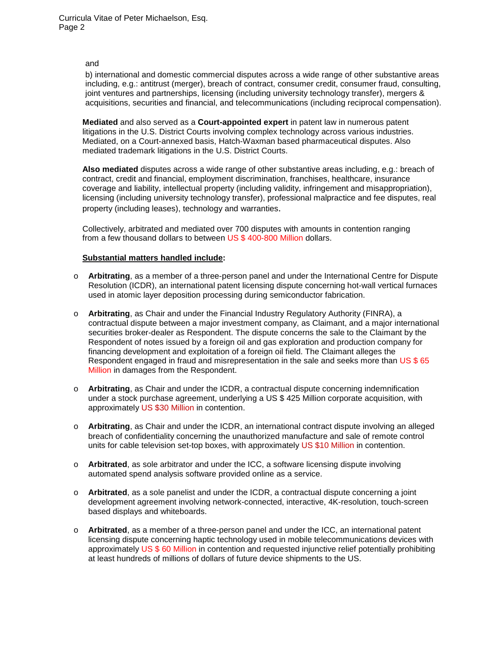# and

b) international and domestic commercial disputes across a wide range of other substantive areas including, e.g.: antitrust (merger), breach of contract, consumer credit, consumer fraud, consulting, joint ventures and partnerships, licensing (including university technology transfer), mergers & acquisitions, securities and financial, and telecommunications (including reciprocal compensation).

**Mediated** and also served as a **Court-appointed expert** in patent law in numerous patent litigations in the U.S. District Courts involving complex technology across various industries. Mediated, on a Court-annexed basis, Hatch-Waxman based pharmaceutical disputes. Also mediated trademark litigations in the U.S. District Courts.

**Also mediated** disputes across a wide range of other substantive areas including, e.g.: breach of contract, credit and financial, employment discrimination, franchises, healthcare, insurance coverage and liability, intellectual property (including validity, infringement and misappropriation), licensing (including university technology transfer), professional malpractice and fee disputes, real property (including leases), technology and warranties.

Collectively, arbitrated and mediated over 700 disputes with amounts in contention ranging from a few thousand dollars to between US \$ 400-800 Million dollars.

#### **Substantial matters handled include:**

- o **Arbitrating**, as a member of a three-person panel and under the International Centre for Dispute Resolution (ICDR), an international patent licensing dispute concerning hot-wall vertical furnaces used in atomic layer deposition processing during semiconductor fabrication.
- o **Arbitrating**, as Chair and under the Financial Industry Regulatory Authority (FINRA), a contractual dispute between a major investment company, as Claimant, and a major international securities broker-dealer as Respondent. The dispute concerns the sale to the Claimant by the Respondent of notes issued by a foreign oil and gas exploration and production company for financing development and exploitation of a foreign oil field. The Claimant alleges the Respondent engaged in fraud and misrepresentation in the sale and seeks more than US \$65 Million in damages from the Respondent.
- o **Arbitrating**, as Chair and under the ICDR, a contractual dispute concerning indemnification under a stock purchase agreement, underlying a US \$ 425 Million corporate acquisition, with approximately US \$30 Million in contention.
- o **Arbitrating**, as Chair and under the ICDR, an international contract dispute involving an alleged breach of confidentiality concerning the unauthorized manufacture and sale of remote control units for cable television set-top boxes, with approximately US \$10 Million in contention.
- o **Arbitrated**, as sole arbitrator and under the ICC, a software licensing dispute involving automated spend analysis software provided online as a service.
- o **Arbitrated**, as a sole panelist and under the ICDR, a contractual dispute concerning a joint development agreement involving network-connected, interactive, 4K-resolution, touch-screen based displays and whiteboards.
- o **Arbitrated**, as a member of a three-person panel and under the ICC, an international patent licensing dispute concerning haptic technology used in mobile telecommunications devices with approximately US \$ 60 Million in contention and requested injunctive relief potentially prohibiting at least hundreds of millions of dollars of future device shipments to the US.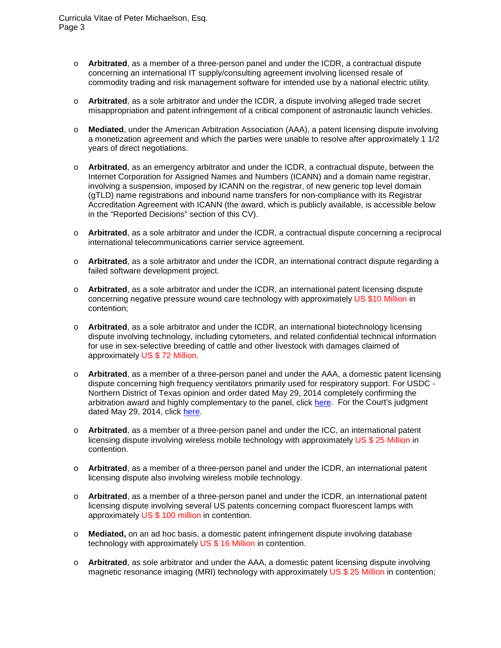- o **Arbitrated**, as a member of a three-person panel and under the ICDR, a contractual dispute concerning an international IT supply/consulting agreement involving licensed resale of commodity trading and risk management software for intended use by a national electric utility.
- o **Arbitrated**, as a sole arbitrator and under the ICDR, a dispute involving alleged trade secret misappropriation and patent infringement of a critical component of astronautic launch vehicles.
- o **Mediated**, under the American Arbitration Association (AAA), a patent licensing dispute involving a monetization agreement and which the parties were unable to resolve after approximately 1 1/2 years of direct negotiations.
- o **Arbitrated**, as an emergency arbitrator and under the ICDR, a contractual dispute, between the Internet Corporation for Assigned Names and Numbers (ICANN) and a domain name registrar, involving a suspension, imposed by ICANN on the registrar, of new generic top level domain (gTLD) name registrations and inbound name transfers for non-compliance with its Registrar Accreditation Agreement with ICANN (the award, which is publicly available, is accessible below in the "Reported Decisions" section of this CV).
- o **Arbitrated**, as a sole arbitrator and under the ICDR, a contractual dispute concerning a reciprocal international telecommunications carrier service agreement.
- o **Arbitrated**, as a sole arbitrator and under the ICDR, an international contract dispute regarding a failed software development project.
- o **Arbitrated**, as a sole arbitrator and under the ICDR, an international patent licensing dispute concerning negative pressure wound care technology with approximately US \$10 Million in contention;
- o **Arbitrated**, as a sole arbitrator and under the ICDR, an international biotechnology licensing dispute involving technology, including cytometers, and related confidential technical information for use in sex-selective breeding of cattle and other livestock with damages claimed of approximately US \$ 72 Million.
- o **Arbitrated**, as a member of a three-person panel and under the AAA, a domestic patent licensing dispute concerning high frequency ventilators primarily used for respiratory support. For USDC - Northern District of Texas opinion and order dated May 29, 2014 completely confirming the arbitration award and highly complementary to the panel, click [here.](http://www.mandw.com/Court_Decisions/Tres_Tech-Opinion&Order-USDC_ND-TX(052914).pdf) For the Court's judgment dated May 29, 2014, click [here.](http://www.mandw.com/Court_Decisions/Tres_Tech-Judgment-USDC_ND-TX(052914).pdf)
- o **Arbitrated**, as a member of a three-person panel and under the ICC, an international patent licensing dispute involving wireless mobile technology with approximately US \$ 25 Million in contention.
- o **Arbitrated**, as a member of a three-person panel and under the ICDR, an international patent licensing dispute also involving wireless mobile technology.
- o **Arbitrated**, as a member of a three-person panel and under the ICDR, an international patent licensing dispute involving several US patents concerning compact fluorescent lamps with approximately US \$ 100 million in contention.
- o **Mediated,** on an ad hoc basis, a domestic patent infringement dispute involving database technology with approximately US \$ 16 Million in contention.
- o **Arbitrated**, as sole arbitrator and under the AAA, a domestic patent licensing dispute involving magnetic resonance imaging (MRI) technology with approximately US \$ 25 Million in contention;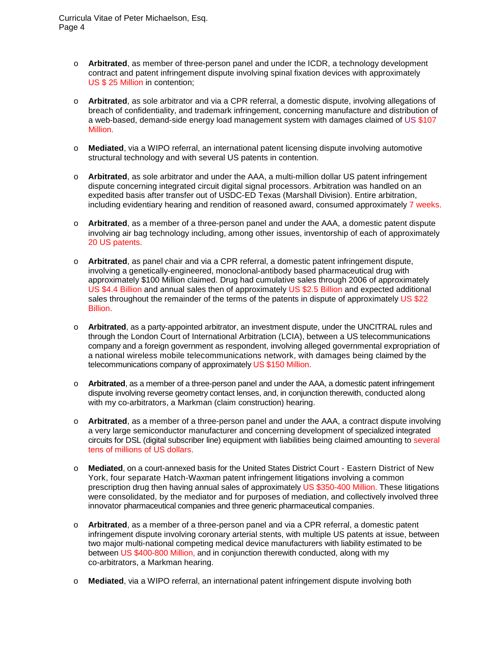- o **Arbitrated**, as member of three-person panel and under the ICDR, a technology development contract and patent infringement dispute involving spinal fixation devices with approximately US \$ 25 Million in contention;
- o **Arbitrated**, as sole arbitrator and via a CPR referral, a domestic dispute, involving allegations of breach of confidentiality, and trademark infringement, concerning manufacture and distribution of a web-based, demand-side energy load management system with damages claimed of US \$107 Million.
- o **Mediated**, via a WIPO referral, an international patent licensing dispute involving automotive structural technology and with several US patents in contention.
- o **Arbitrated**, as sole arbitrator and under the AAA, a multi-million dollar US patent infringement dispute concerning integrated circuit digital signal processors. Arbitration was handled on an expedited basis after transfer out of USDC-ED Texas (Marshall Division). Entire arbitration, including evidentiary hearing and rendition of reasoned award, consumed approximately 7 weeks.
- o **Arbitrated**, as a member of a three-person panel and under the AAA, a domestic patent dispute involving air bag technology including, among other issues, inventorship of each of approximately 20 US patents.
- o **Arbitrated**, as panel chair and via a CPR referral, a domestic patent infringement dispute, involving a genetically-engineered, monoclonal-antibody based pharmaceutical drug with approximately \$100 Million claimed. Drug had cumulative sales through 2006 of approximately US \$4.4 Billion and annual sales then of approximately US \$2.5 Billion and expected additional sales throughout the remainder of the terms of the patents in dispute of approximately US \$22 Billion.
- o **Arbitrated**, as a party-appointed arbitrator, an investment dispute, under the UNCITRAL rules and through the London Court of International Arbitration (LCIA), between a US telecommunications company and a foreign government as respondent, involving alleged governmental expropriation of a national wireless mobile telecommunications network, with damages being claimed by the telecommunications company of approximately US \$150 Million.
- o **Arbitrated**, as a member of a three-person panel and under the AAA, a domestic patent infringement dispute involving reverse geometry contact lenses, and, in conjunction therewith, conducted along with my co-arbitrators, a Markman (claim construction) hearing.
- o **Arbitrated**, as a member of a three-person panel and under the AAA, a contract dispute involving a very large semiconductor manufacturer and concerning development of specialized integrated circuits for DSL (digital subscriber line) equipment with liabilities being claimed amounting to several tens of millions of US dollars.
- o **Mediated**, on a court-annexed basis for the United States District Court Eastern District of New York, four separate Hatch-Waxman patent infringement litigations involving a common prescription drug then having annual sales of approximately US \$350-400 Million. These litigations were consolidated, by the mediator and for purposes of mediation, and collectively involved three innovator pharmaceutical companies and three generic pharmaceutical companies.
- o **Arbitrated**, as a member of a three-person panel and via a CPR referral, a domestic patent infringement dispute involving coronary arterial stents, with multiple US patents at issue, between two major multi-national competing medical device manufacturers with liability estimated to be between US \$400-800 Million, and in conjunction therewith conducted, along with my co-arbitrators, a Markman hearing.
- o **Mediated**, via a WIPO referral, an international patent infringement dispute involving both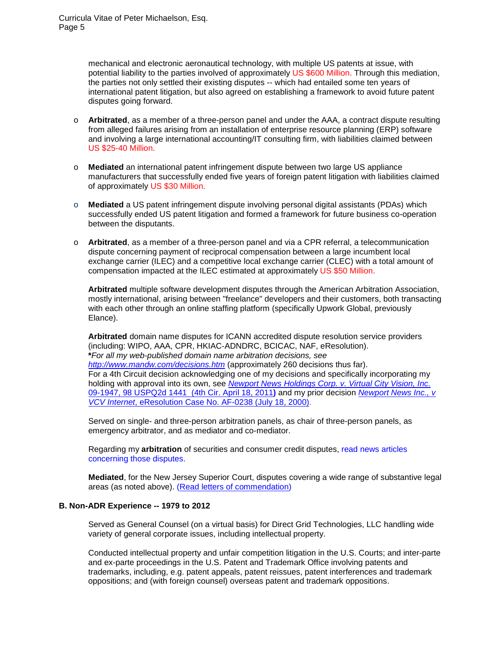mechanical and electronic aeronautical technology, with multiple US patents at issue, with potential liability to the parties involved of approximately US \$600 Million. Through this mediation, the parties not only settled their existing disputes -- which had entailed some ten years of international patent litigation, but also agreed on establishing a framework to avoid future patent disputes going forward.

- o **Arbitrated**, as a member of a three-person panel and under the AAA, a contract dispute resulting from alleged failures arising from an installation of enterprise resource planning (ERP) software and involving a large international accounting/IT consulting firm, with liabilities claimed between US \$25-40 Million.
- o **Mediated** an international patent infringement dispute between two large US appliance manufacturers that successfully ended five years of foreign patent litigation with liabilities claimed of approximately US \$30 Million.
- o **Mediated** a US patent infringement dispute involving personal digital assistants (PDAs) which successfully ended US patent litigation and formed a framework for future business co-operation between the disputants.
- o **Arbitrated**, as a member of a three-person panel and via a CPR referral, a telecommunication dispute concerning payment of reciprocal compensation between a large incumbent local exchange carrier (ILEC) and a competitive local exchange carrier (CLEC) with a total amount of compensation impacted at the ILEC estimated at approximately US \$50 Million.

**Arbitrated** multiple software development disputes through the American Arbitration Association, mostly international, arising between "freelance" developers and their customers, both transacting with each other through an online staffing platform (specifically Upwork Global, previously Elance).

**Arbitrated** domain name disputes for ICANN accredited dispute resolution service providers (including: WIPO, AAA, CPR, HKIAC-ADNDRC, BCICAC, NAF, eResolution). **\****For all my web-published domain name arbitration decisions, see <http://www.mandw.com/decisions.htm>* (approximately 260 decisions thus far). For a 4th Circuit decision acknowledging one of my decisions and specifically incorporating my holding with approval into its own, see *[Newport News Holdings Corp.](http://www.mandw.com/Court_Decisions/Newport_News_v_VCV-4thCir_091947%28041811%29.pdf) v. Virtual City Vision, Inc.* [09-1947, 98 USPQ2d 1441 \(4th Cir. April 18, 2011](http://www.mandw.com/Court_Decisions/Newport_News_v_VCV-4thCir_091947%28041811%29.pdf)**)** and my prior decision *[Newport News Inc., v](http://www.mandw.com/DECISIONS/newportn%28eResolution-AF-0238%29.pdf)  VCV Internet*[, eResolution Case No. AF-0238 \(July 18, 2000\).](http://www.mandw.com/DECISIONS/newportn%28eResolution-AF-0238%29.pdf)

Served on single- and three-person arbitration panels, as chair of three-person panels, as emergency arbitrator, and as mediator and co-mediator.

Regarding my **arbitration** of securities and consumer credit disputes, [read news articles](http://www.mandw.com/Securities%20and%20Credit%20Consumer%20Credit%20%20Dispute%20News%20Articles.htm)  [concerning those disputes.](http://www.mandw.com/Securities%20and%20Credit%20Consumer%20Credit%20%20Dispute%20News%20Articles.htm)

**Mediated**, for the New Jersey Superior Court, disputes covering a wide range of substantive legal areas (as noted above). [\(Read letters of commendation\)](http://www.mandw.com/commendations.html)

# **B. Non-ADR Experience -- 1979 to 2012**

Served as General Counsel (on a virtual basis) for Direct Grid Technologies, LLC handling wide variety of general corporate issues, including intellectual property.

Conducted intellectual property and unfair competition litigation in the U.S. Courts; and inter-parte and ex-parte proceedings in the U.S. Patent and Trademark Office involving patents and trademarks, including, e.g. patent appeals, patent reissues, patent interferences and trademark oppositions; and (with foreign counsel) overseas patent and trademark oppositions.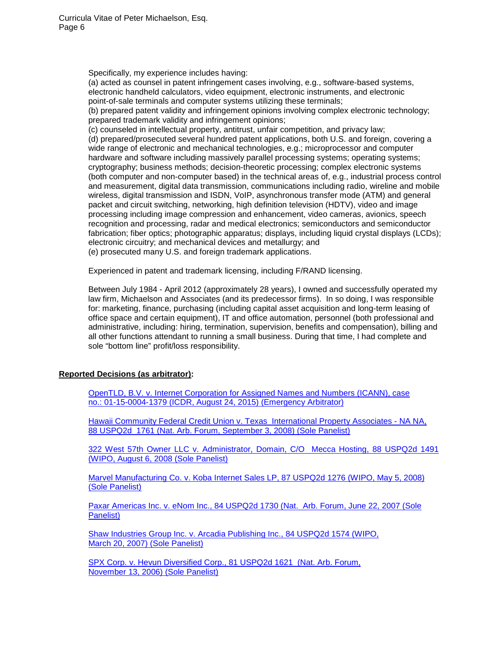Specifically, my experience includes having:

(a) acted as counsel in patent infringement cases involving, e.g., software-based systems, electronic handheld calculators, video equipment, electronic instruments, and electronic point-of-sale terminals and computer systems utilizing these terminals;

(b) prepared patent validity and infringement opinions involving complex electronic technology; prepared trademark validity and infringement opinions;

(c) counseled in intellectual property, antitrust, unfair competition, and privacy law; (d) prepared/prosecuted several hundred patent applications, both U.S. and foreign, covering a wide range of electronic and mechanical technologies, e.g.; microprocessor and computer hardware and software including massively parallel processing systems; operating systems; cryptography; business methods; decision-theoretic processing; complex electronic systems (both computer and non-computer based) in the technical areas of, e.g., industrial process control and measurement, digital data transmission, communications including radio, wireline and mobile wireless, digital transmission and ISDN, VoIP, asynchronous transfer mode (ATM) and general packet and circuit switching, networking, high definition television (HDTV), video and image processing including image compression and enhancement, video cameras, avionics, speech recognition and processing, radar and medical electronics; semiconductors and semiconductor fabrication; fiber optics; photographic apparatus; displays, including liquid crystal displays (LCDs); electronic circuitry; and mechanical devices and metallurgy; and (e) prosecuted many U.S. and foreign trademark applications.

Experienced in patent and trademark licensing, including F/RAND licensing.

Between July 1984 - April 2012 (approximately 28 years), I owned and successfully operated my law firm, Michaelson and Associates (and its predecessor firms). In so doing, I was responsible for: marketing, finance, purchasing (including capital asset acquisition and long-term leasing of office space and certain equipment), IT and office automation, personnel (both professional and administrative, including: hiring, termination, supervision, benefits and compensation), billing and all other functions attendant to running a small business. During that time, I had complete and sole "bottom line" profit/loss responsibility.

# **Reported Decisions (as arbitrator):**

[OpenTLD, B.V. v. Internet Corporation for Assigned Names and Numbers \(ICANN\), case](http://www.mandw.com/DECISIONS/ICANN_Emergency_Award(082415).pdf)  no.: [01-15-0004-1379 \(ICDR, August 24, 2015\)](http://www.mandw.com/DECISIONS/ICANN_Emergency_Award(082415).pdf) (Emergency Arbitrator)

[Hawaii Community Federal Credit Union v. Texas International Property](http://www.mandw.com/DECISIONS-PUBLISHED/hawaiicommunityfcu-USPQ%2888USPQ2d-1761%29.pdf) Associates - NA NA, [88 USPQ2d 1761 \(Nat. Arb. Forum, September 3, 2008\) \(Sole Panelist\)](http://www.mandw.com/DECISIONS-PUBLISHED/hawaiicommunityfcu-USPQ%2888USPQ2d-1761%29.pdf)

[322 West 57th Owner LLC v. Administrator, Domain, C/O Mecca Hosting, 88 USPQ2d 1491](http://www.mandw.com/DECISIONS-PUBLISHED/sheffield57resident%2888USPQ2d-1491%29.pdf)  [\(WIPO, August 6, 2008 \(Sole Panelist\)](http://www.mandw.com/DECISIONS-PUBLISHED/sheffield57resident%2888USPQ2d-1491%29.pdf)

[Marvel Manufacturing Co. v. Koba Internet Sales LP, 87 USPQ2d 1276 \(WIPO, May 5, 2008\)](http://www.mandw.com/DECISIONS-PUBLISHED/marvelsawparts-USPQ%2887USPQ2d1276%29.pdf)  [\(Sole Panelist\)](http://www.mandw.com/DECISIONS-PUBLISHED/marvelsawparts-USPQ%2887USPQ2d1276%29.pdf)

[Paxar Americas Inc. v. eNom Inc., 84 USPQ2d 1730 \(Nat. Arb. Forum, June 22, 2007 \(Sole](http://www.mandw.com/DECISIONS-PUBLISHED/monarchmarking%2884USPQ2d-1730%29.pdf)  [Panelist\)](http://www.mandw.com/DECISIONS-PUBLISHED/monarchmarking%2884USPQ2d-1730%29.pdf)

[Shaw Industries Group Inc. v. Arcadia Publishing Inc., 84 USPQ2d 1574 \(WIPO,](http://www.mandw.com/DECISIONS-PUBLISHED/shawcarpetoutlet%2884USPQ2d-1574%29.pdf)  March 20, [2007\) \(Sole Panelist\)](http://www.mandw.com/DECISIONS-PUBLISHED/shawcarpetoutlet%2884USPQ2d-1574%29.pdf)

[SPX Corp. v. Hevun Diversified Corp., 81 USPQ2d 1621 \(Nat. Arb. Forum,](http://www.mandw.com/DECISIONS-PUBLISHED/waukeshapump-USPQ%2881USPQ2d-1621%29.pdf)  November 13, [2006\) \(Sole Panelist\)](http://www.mandw.com/DECISIONS-PUBLISHED/waukeshapump-USPQ%2881USPQ2d-1621%29.pdf)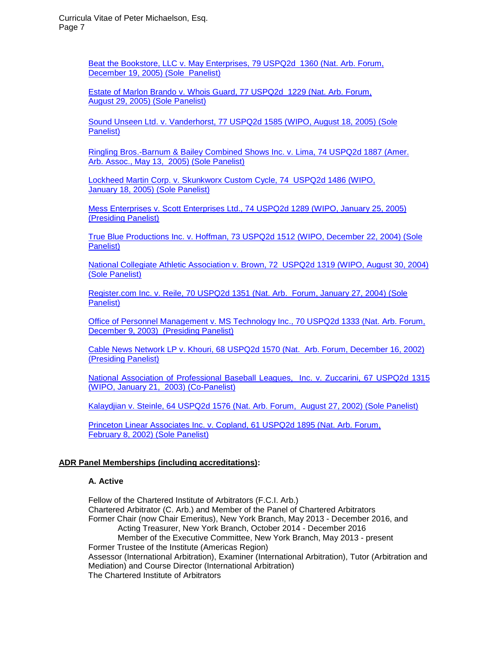[Beat the Bookstore, LLC v. May Enterprises, 79 USPQ2d 1360 \(Nat. Arb. Forum,](http://www.mandw.com/DECISIONS-PUBLISHED/BEATTHEBOOKSTORE-USPQ%2879USPQ2d-1360%29.pdf)  December [19, 2005\) \(Sole Panelist\)](http://www.mandw.com/DECISIONS-PUBLISHED/BEATTHEBOOKSTORE-USPQ%2879USPQ2d-1360%29.pdf)

[Estate of Marlon Brando v. Whois Guard, 77 USPQ2d 1229 \(Nat. Arb. Forum,](http://www.mandw.com/DECISIONS-PUBLISHED/marlonbrando-USPQ%2877USPQ2d-1229%29.pdf)  August 29, [2005\) \(Sole](http://www.mandw.com/DECISIONS-PUBLISHED/marlonbrando-USPQ%2877USPQ2d-1229%29.pdf) Panelist)

[Sound Unseen Ltd. v. Vanderhorst, 77 USPQ2d 1585 \(WIPO, August 18, 2005\) \(Sole](http://www.mandw.com/DECISIONS-PUBLISHED/nelly-USPQ%2877USPQ2d-1585%29.pdf)  [Panelist\)](http://www.mandw.com/DECISIONS-PUBLISHED/nelly-USPQ%2877USPQ2d-1585%29.pdf)

[Ringling Bros.-Barnum & Bailey Combined Shows Inc. v.](http://www.mandw.com/DECISIONS-PUBLISHED/ringling.us-USPQ%2874USPQ2d-1887%29.pdf) Lima, 74 USPQ2d 1887 (Amer. [Arb. Assoc., May 13, 2005\) \(Sole Panelist\)](http://www.mandw.com/DECISIONS-PUBLISHED/ringling.us-USPQ%2874USPQ2d-1887%29.pdf)

[Lockheed Martin Corp. v. Skunkworx Custom Cycle, 74 USPQ2d 1486 \(WIPO,](http://www.mandw.com/DECISIONS-PUBLISHED/skunkworxcc-USPQ%2874USPQ2d-1486%29.pdf)  January 18, [2005\) \(Sole Panelist\)](http://www.mandw.com/DECISIONS-PUBLISHED/skunkworxcc-USPQ%2874USPQ2d-1486%29.pdf)

[Mess Enterprises v. Scott Enterprises Ltd., 74 USPQ2d](http://www.mandw.com/DECISIONS-PUBLISHED/MESS-USPQ%2874USPQ2d-1289%29.pdf) 1289 (WIPO, January 25, 2005) [\(Presiding Panelist\)](http://www.mandw.com/DECISIONS-PUBLISHED/MESS-USPQ%2874USPQ2d-1289%29.pdf)

[True Blue Productions Inc. v. Hoffman, 73 USPQ2d 1512 \(WIPO, December 22, 2004\) \(Sole](http://www.mandw.com/DECISIONS-PUBLISHED/fatactress-uspq%2873USPQ2d-1512%29.pdf)  [Panelist\)](http://www.mandw.com/DECISIONS-PUBLISHED/fatactress-uspq%2873USPQ2d-1512%29.pdf)

[National Collegiate Athletic Association v. Brown, 72 USPQ2d 1319 \(WIPO, August 30, 2004\)](http://www.mandw.com/DECISIONS-PUBLISHED/NCAA-USPQ%2872USPQ2d1319%29.pdf)  [\(Sole Panelist\)](http://www.mandw.com/DECISIONS-PUBLISHED/NCAA-USPQ%2872USPQ2d1319%29.pdf)

[Register.com Inc. v. Reile, 70 USPQ2d 1351 \(Nat. Arb. Forum, January 27, 2004\) \(Sole](http://www.mandw.com/DECISIONS-PUBLISHED/REGISTER-USPQ%2870USPQ2d-1351%29.pdf)  [Panelist\)](http://www.mandw.com/DECISIONS-PUBLISHED/REGISTER-USPQ%2870USPQ2d-1351%29.pdf)

[Office of Personnel Management v. MS Technology Inc., 70 USPQ2d 1333 \(Nat. Arb. Forum,](http://www.mandw.com/DECISIONS-PUBLISHED/USAJOBS-USPQ%2870USPQ2d-1333%29.pdf)  [December 9, 2003\) \(Presiding Panelist\)](http://www.mandw.com/DECISIONS-PUBLISHED/USAJOBS-USPQ%2870USPQ2d-1333%29.pdf)

[Cable News Network LP v. Khouri, 68 USPQ2d 1570 \(Nat. Arb. Forum, December 16, 2002\)](http://www.mandw.com/DECISIONS-PUBLISHED/CNN-USPQ%2868USPQ2d-1570%29.pdf)  [\(Presiding Panelist\)](http://www.mandw.com/DECISIONS-PUBLISHED/CNN-USPQ%2868USPQ2d-1570%29.pdf)

[National Association of Professional Baseball Leagues, Inc. v. Zuccarini, 67 USPQ2d 1315](http://www.mandw.com/DECISIONS-PUBLISHED/baseballUSPQ%2867USPQ2d-1315%29.pdf)  [\(WIPO, January 21, 2003\) \(Co-Panelist\)](http://www.mandw.com/DECISIONS-PUBLISHED/baseballUSPQ%2867USPQ2d-1315%29.pdf)

[Kalaydjian v. Steinle, 64 USPQ2d 1576 \(Nat. Arb. Forum, August 27, 2002\) \(Sole Panelist\)](http://www.mandw.com/DECISIONS-PUBLISHED/KalaydjianUSPQ%2864USPQ2d-1576%29.pdf)

[Princeton Linear Associates Inc. v. Copland, 61 USPQ2d 1895 \(Nat. Arb. Forum,](http://www.mandw.com/DECISIONS-PUBLISHED/LANSOLUTIONS-USPD%2861USPQ2d-1895%29.pdf)  February 8, [2002\) \(Sole Panelist\)](http://www.mandw.com/DECISIONS-PUBLISHED/LANSOLUTIONS-USPD%2861USPQ2d-1895%29.pdf)

# **ADR Panel Memberships (including accreditations):**

# **A. Active**

Fellow of the Chartered Institute of Arbitrators (F.C.I. Arb.) Chartered Arbitrator (C. Arb.) and Member of the Panel of Chartered Arbitrators Former Chair (now Chair Emeritus), New York Branch, May 2013 - December 2016, and Acting Treasurer, New York Branch, October 2014 - December 2016 Member of the Executive Committee, New York Branch, May 2013 - present Former Trustee of the Institute (Americas Region) Assessor (International Arbitration), Examiner (International Arbitration), Tutor (Arbitration and Mediation) and Course Director (International Arbitration) The Chartered Institute of Arbitrators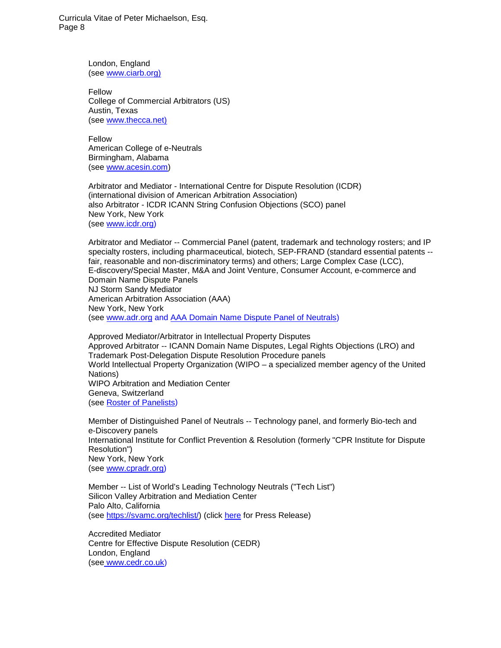> London, England (see [www.ciarb.org\)](http://www.ciarb.org/)

Fellow College of Commercial Arbitrators (US) Austin, Texas (see [www.thecca.net\)](http://www.thecca.net/)

Fellow American College of e-Neutrals Birmingham, Alabama (see [www.acesin.com\)](http://www.acesin.com/)

Arbitrator and Mediator - International Centre for Dispute Resolution (ICDR) (international division of American Arbitration Association) also Arbitrator - ICDR ICANN String Confusion Objections (SCO) panel New York, New York (see [www.icdr.org\)](http://www.icdr.org/)

Arbitrator and Mediator -- Commercial Panel (patent, trademark and technology rosters; and IP specialty rosters, including pharmaceutical, biotech, SEP-FRAND (standard essential patents - fair, reasonable and non-discriminatory terms) and others; Large Complex Case (LCC), E-discovery/Special Master, M&A and Joint Venture, Consumer Account, e-commerce and Domain Name Dispute Panels NJ Storm Sandy Mediator American Arbitration Association (AAA) New York, New York (see [www.adr.org](http://www.adr.org/) and [AAA Domain Name Dispute Panel of Neutrals\)](http://www.adr.org/sp.asp?id=28995)

Approved Mediator/Arbitrator in Intellectual Property Disputes Approved Arbitrator -- ICANN Domain Name Disputes, Legal Rights Objections (LRO) and Trademark Post-Delegation Dispute Resolution Procedure panels World Intellectual Property Organization (WIPO – a specialized member agency of the United Nations) WIPO Arbitration and Mediation Center Geneva, Switzerland (see [Roster of Panelists\)](http://www.wipo.int/amc/en/domains/panel/panelists.html)

Member of Distinguished Panel of Neutrals -- Technology panel, and formerly Bio-tech and e-Discovery panels International Institute for Conflict Prevention & Resolution (formerly "CPR Institute for Dispute Resolution") New York, New York (see [www.cpradr.org\)](http://www.cpradr.org/)

Member -- List of World's Leading Technology Neutrals ("Tech List") Silicon Valley Arbitration and Mediation Center Palo Alto, California (see [https://svamc.org/techlist/\)](https://svamc.org/techlist/) (click [here](http://www.mandw.com/SVAMC_2018_Tech_List_Press_Release(012918).pdf) for Press Release)

Accredited Mediator Centre for Effective Dispute Resolution (CEDR) London, England (see [www.cedr.co.uk\)](http://www.cedr.co.uk/)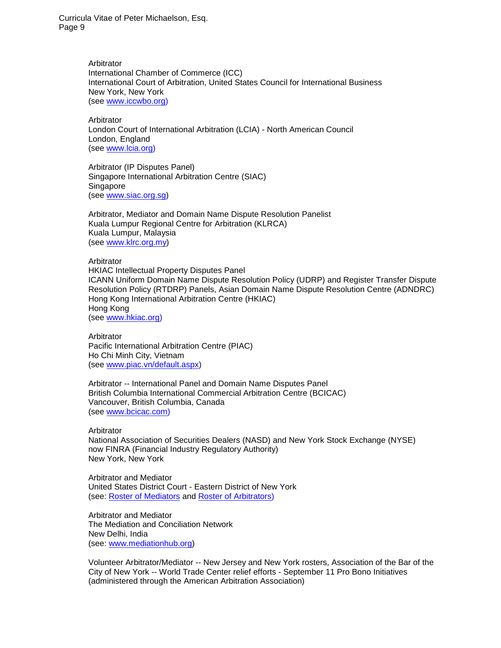> Arbitrator International Chamber of Commerce (ICC) International Court of Arbitration, United States Council for International Business New York, New York (see [www.iccwbo.org\)](http://www.iccwbo.org/)

Arbitrator London Court of International Arbitration (LCIA) - North American Council London, England (see [www.lcia.org\)](http://www.lcia.org/)

Arbitrator (IP Disputes Panel) Singapore International Arbitration Centre (SIAC) Singapore (see [www.siac.org.sg\)](http://www.siac.org.sg/)

Arbitrator, Mediator and Domain Name Dispute Resolution Panelist Kuala Lumpur Regional Centre for Arbitration (KLRCA) Kuala Lumpur, Malaysia (see [www.klrc.org.my\)](http://www.klrc.org.my/)

Arbitrator HKIAC Intellectual Property Disputes Panel ICANN Uniform Domain Name Dispute Resolution Policy (UDRP) and Register Transfer Dispute Resolution Policy (RTDRP) Panels, Asian Domain Name Dispute Resolution Centre (ADNDRC) Hong Kong International Arbitration Centre (HKIAC) Hong Kong (see [www.hkiac.org\)](http://www.hkiac.org/)

Arbitrator Pacific International Arbitration Centre (PIAC) Ho Chi Minh City, Vietnam (see [www.piac.vn/default.aspx\)](http://www.piac.vn/default.aspx)

Arbitrator -- International Panel and Domain Name Disputes Panel British Columbia International Commercial Arbitration Centre (BCICAC) Vancouver, British Columbia, Canada (see [www.bcicac.com\)](http://www.bcicac.com/)

Arbitrator National Association of Securities Dealers (NASD) and New York Stock Exchange (NYSE) now FINRA (Financial Industry Regulatory Authority) New York, New York

Arbitrator and Mediator United States District Court - Eastern District of New York (see: [Roster of Mediators](http://www.nyed.uscourts.gov/adr/Mediation/displayAll.cfm) and [Roster of Arbitrators\)](http://www.nyed.uscourts.gov/adr/Arbitration/displayAllArb.cfm)

Arbitrator and Mediator The Mediation and Conciliation Network New Delhi, India (see: [www.mediationhub.org\)](http://www.mediationhub.org/)

Volunteer Arbitrator/Mediator -- New Jersey and New York rosters, Association of the Bar of the City of New York -- World Trade Center relief efforts - September 11 Pro Bono Initiatives (administered through the American Arbitration Association)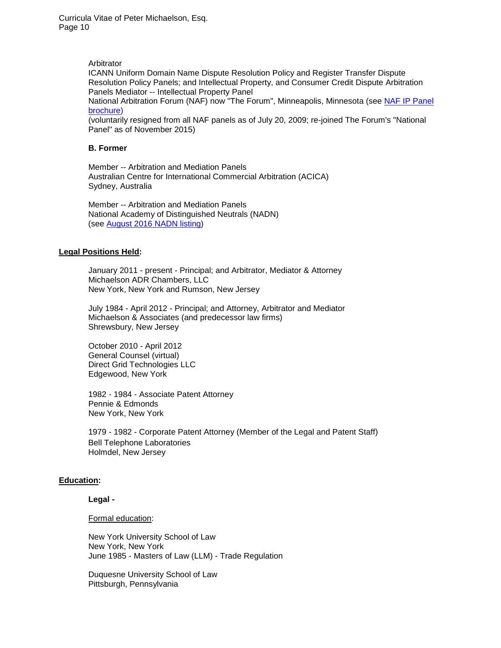Arbitrator

ICANN Uniform Domain Name Dispute Resolution Policy and Register Transfer Dispute Resolution Policy Panels; and Intellectual Property, and Consumer Credit Dispute Arbitration Panels Mediator -- Intellectual Property Panel

National Arbitration Forum (NAF) now "The Forum", Minneapolis, Minnesota (see [NAF IP Panel](http://www.mandw.com/images/NAF%20IP%20Panel%20brochure.pdf)  [brochure\)](http://www.mandw.com/images/NAF%20IP%20Panel%20brochure.pdf)

(voluntarily resigned from all NAF panels as of July 20, 2009; re-joined The Forum's "National Panel" as of November 2015)

# **B. Former**

Member -- Arbitration and Mediation Panels Australian Centre for International Commercial Arbitration (ACICA) Sydney, Australia

Member -- Arbitration and Mediation Panels National Academy of Distinguished Neutrals (NADN) (see [August 2016 NADN listing\)](http://www.mandw.com/PeterLMichaelson-NADN_listing(as_of_082616).pdf)

# **Legal Positions Held:**

January 2011 - present - Principal; and Arbitrator, Mediator & Attorney Michaelson ADR Chambers, LLC New York, New York and Rumson, New Jersey

July 1984 - April 2012 - Principal; and Attorney, Arbitrator and Mediator Michaelson & Associates (and predecessor law firms) Shrewsbury, New Jersey

October 2010 - April 2012 General Counsel (virtual) Direct Grid Technologies LLC Edgewood, New York

1982 - 1984 - Associate Patent Attorney Pennie & Edmonds New York, New York

1979 - 1982 - Corporate Patent Attorney (Member of the Legal and Patent Staff) Bell Telephone Laboratories Holmdel, New Jersey

# **Education:**

# **Legal -**

Formal education:

New York University School of Law New York, New York June 1985 - Masters of Law (LLM) - Trade Regulation

Duquesne University School of Law Pittsburgh, Pennsylvania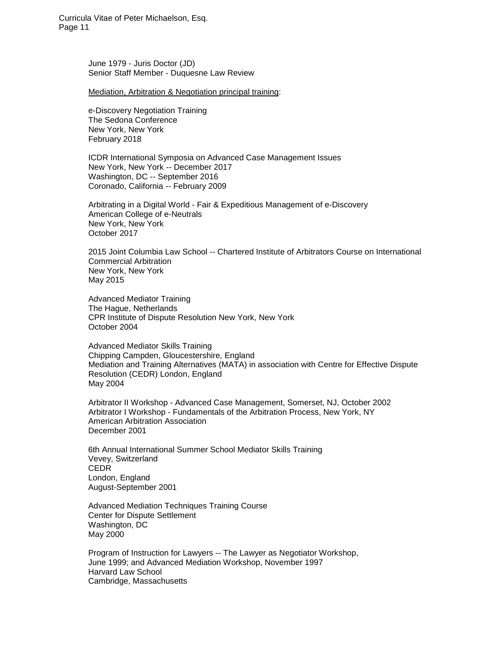> June 1979 - Juris Doctor (JD) Senior Staff Member - Duquesne Law Review

Mediation, Arbitration & Negotiation principal training:

e-Discovery Negotiation Training The Sedona Conference New York, New York February 2018

ICDR International Symposia on Advanced Case Management Issues New York, New York -- December 2017 Washington, DC -- September 2016 Coronado, California -- February 2009

Arbitrating in a Digital World - Fair & Expeditious Management of e-Discovery American College of e-Neutrals New York, New York October 2017

2015 Joint Columbia Law School -- Chartered Institute of Arbitrators Course on International Commercial Arbitration New York, New York May 2015

Advanced Mediator Training The Hague, Netherlands CPR Institute of Dispute Resolution New York, New York October 2004

Advanced Mediator Skills Training Chipping Campden, Gloucestershire, England Mediation and Training Alternatives (MATA) in association with Centre for Effective Dispute Resolution (CEDR) London, England May 2004

Arbitrator II Workshop - Advanced Case Management, Somerset, NJ, October 2002 Arbitrator I Workshop - Fundamentals of the Arbitration Process, New York, NY American Arbitration Association December 2001

6th Annual International Summer School Mediator Skills Training Vevey, Switzerland CEDR London, England August-September 2001

Advanced Mediation Techniques Training Course Center for Dispute Settlement Washington, DC May 2000

Program of Instruction for Lawyers -- The Lawyer as Negotiator Workshop, June 1999; and Advanced Mediation Workshop, November 1997 Harvard Law School Cambridge, Massachusetts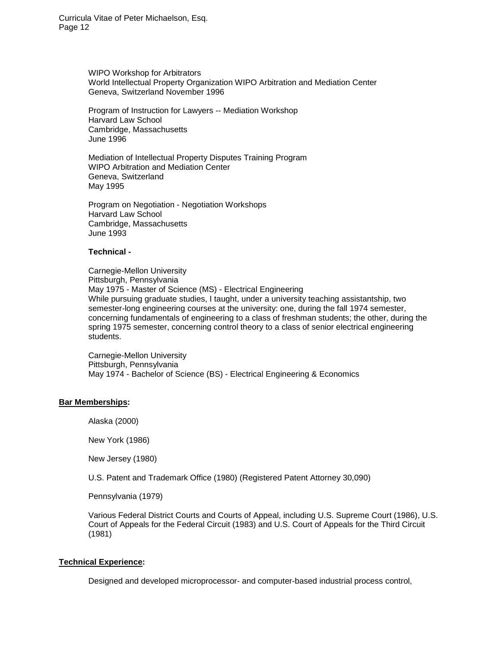> WIPO Workshop for Arbitrators World Intellectual Property Organization WIPO Arbitration and Mediation Center Geneva, Switzerland November 1996

Program of Instruction for Lawyers -- Mediation Workshop Harvard Law School Cambridge, Massachusetts June 1996

Mediation of Intellectual Property Disputes Training Program WIPO Arbitration and Mediation Center Geneva, Switzerland May 1995

Program on Negotiation - Negotiation Workshops Harvard Law School Cambridge, Massachusetts June 1993

# **Technical -**

Carnegie-Mellon University Pittsburgh, Pennsylvania May 1975 - Master of Science (MS) - Electrical Engineering While pursuing graduate studies, I taught, under a university teaching assistantship, two semester-long engineering courses at the university: one, during the fall 1974 semester, concerning fundamentals of engineering to a class of freshman students; the other, during the spring 1975 semester, concerning control theory to a class of senior electrical engineering students.

Carnegie-Mellon University Pittsburgh, Pennsylvania May 1974 - Bachelor of Science (BS) - Electrical Engineering & Economics

#### **Bar Memberships:**

Alaska (2000)

New York (1986)

New Jersey (1980)

U.S. Patent and Trademark Office (1980) (Registered Patent Attorney 30,090)

Pennsylvania (1979)

Various Federal District Courts and Courts of Appeal, including U.S. Supreme Court (1986), U.S. Court of Appeals for the Federal Circuit (1983) and U.S. Court of Appeals for the Third Circuit (1981)

# **Technical Experience:**

Designed and developed microprocessor- and computer-based industrial process control,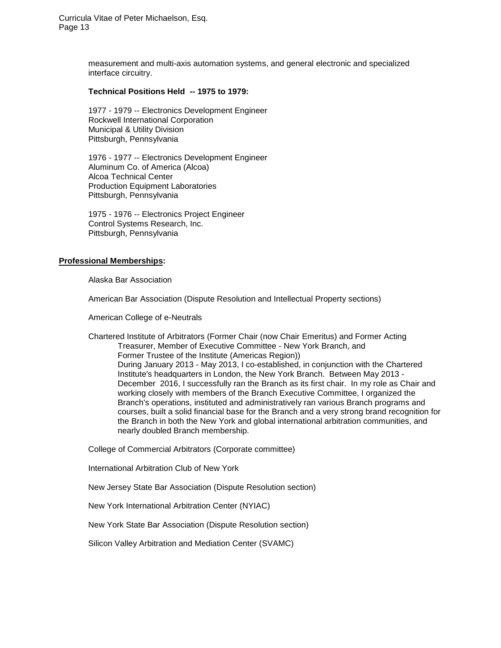> measurement and multi-axis automation systems, and general electronic and specialized interface circuitry.

# **Technical Positions Held -- 1975 to 1979:**

1977 - 1979 -- Electronics Development Engineer Rockwell International Corporation Municipal & Utility Division Pittsburgh, Pennsylvania

1976 - 1977 -- Electronics Development Engineer Aluminum Co. of America (Alcoa) Alcoa Technical Center Production Equipment Laboratories Pittsburgh, Pennsylvania

1975 - 1976 -- Electronics Project Engineer Control Systems Research, Inc. Pittsburgh, Pennsylvania

#### **Professional Memberships:**

Alaska Bar Association

American Bar Association (Dispute Resolution and Intellectual Property sections)

American College of e-Neutrals

Chartered Institute of Arbitrators (Former Chair (now Chair Emeritus) and Former Acting Treasurer, Member of Executive Committee - New York Branch, and Former Trustee of the Institute (Americas Region)) During January 2013 - May 2013, I co-established, in conjunction with the Chartered Institute's headquarters in London, the New York Branch. Between May 2013 - December 2016, I successfully ran the Branch as its first chair. In my role as Chair and working closely with members of the Branch Executive Committee, I organized the Branch's operations, instituted and administratively ran various Branch programs and courses, built a solid financial base for the Branch and a very strong brand recognition for the Branch in both the New York and global international arbitration communities, and nearly doubled Branch membership.

College of Commercial Arbitrators (Corporate committee)

International Arbitration Club of New York

New Jersey State Bar Association (Dispute Resolution section)

New York International Arbitration Center (NYIAC)

New York State Bar Association (Dispute Resolution section)

Silicon Valley Arbitration and Mediation Center (SVAMC)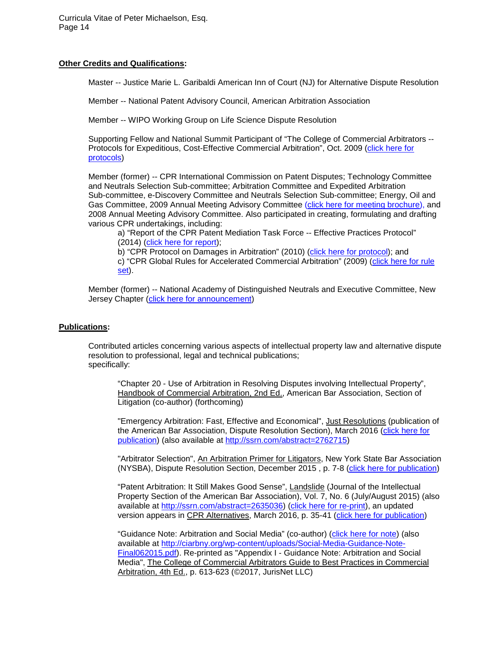#### **Other Credits and Qualifications:**

Master -- Justice Marie L. Garibaldi American Inn of Court (NJ) for Alternative Dispute Resolution

Member -- National Patent Advisory Council, American Arbitration Association

Member -- WIPO Working Group on Life Science Dispute Resolution

Supporting Fellow and National Summit Participant of "The College of Commercial Arbitrators -- Protocols for Expeditious, Cost-Effective Commercial Arbitration", Oct. 2009 [\(click here for](http://www.mandw.com/PUBLICATIONS/CCA_Arb_Protocols%28final%29.pdf)  [protocols\)](http://www.mandw.com/PUBLICATIONS/CCA_Arb_Protocols%28final%29.pdf)

Member (former) -- CPR International Commission on Patent Disputes; Technology Committee and Neutrals Selection Sub-committee; Arbitration Committee and Expedited Arbitration Sub-committee, e-Discovery Committee and Neutrals Selection Sub-committee; Energy, Oil and Gas Committee, 2009 Annual Meeting Advisory Committee [\(click here for meeting brochure\)](http://www.mandw.com/PRESENTATIONS/CPR%20Annual%20Meeting%202009%20Brochure.pdf), and 2008 Annual Meeting Advisory Committee. Also participated in creating, formulating and drafting various CPR undertakings, including:

a) "Report of the CPR Patent Mediation Task Force -- Effective Practices Protocol" (2014) [\(click here for report\)](http://www.mandw.com/PUBLICATIONS/CPR-Patent_Mediation_Task_Force(2014).pdf);

b) "CPR Protocol on Damages in Arbitration" (2010) [\(click here for protocol\)](http://www.mandw.com/PUBLICATIONS/CPR-Protocol_on_Damages_in_Arbitration(2010).pdf); and c) "CPR Global Rules for Accelerated Commercial Arbitration" (2009) [\(click here for rule](http://www.mandw.com/PUBLICATIONS/CPR_Global_Rules_Accel_Comml_Arb(2009).pdf)  [set\)](http://www.mandw.com/PUBLICATIONS/CPR_Global_Rules_Accel_Comml_Arb(2009).pdf).

Member (former) -- National Academy of Distinguished Neutrals and Executive Committee, New Jersey Chapter [\(click here for announcement\)](http://www.mandw.com/NJLJ-announcement-After_Hours_5_%206_13.pdf)

# **Publications:**

Contributed articles concerning various aspects of intellectual property law and alternative dispute resolution to professional, legal and technical publications; specifically:

"Chapter 20 - Use of Arbitration in Resolving Disputes involving Intellectual Property", Handbook of Commercial Arbitration, 2nd Ed., American Bar Association, Section of Litigation (co-author) (forthcoming)

"Emergency Arbitration: Fast, Effective and Economical", Just Resolutions (publication of the American Bar Association, Dispute Resolution Section), March 2016 [\(click here for](http://www.americanbar.org/groups/dispute_resolution/publications/JustResolutions/November-e-news1111211111111111211111.html)  [publication\)](http://www.americanbar.org/groups/dispute_resolution/publications/JustResolutions/November-e-news1111211111111111211111.html) (also available at [http://ssrn.com/abstract=2762715\)](http://ssrn.com/abstract=2762715)

"Arbitrator Selection", An Arbitration Primer for Litigators, New York State Bar Association (NYSBA), Dispute Resolution Section, December 2015 , p. 7-8 [\(click here for publication\)](http://www.mandw.com/PUBLICATIONS/NYSBA-DRS_Arbitration_pamphlet_Final(12-2015).pdf)

"Patent Arbitration: It Still Makes Good Sense", Landslide (Journal of the Intellectual Property Section of the American Bar Association), Vol. 7, No. 6 (July/August 2015) (also available at [http://ssrn.com/abstract=2635036\)](http://ssrn.com/abstract=2635036) [\(click here for re-print\)](http://www.mandw.com/PUBLICATIONS/ABA_LAND_v007n06__patent_arbitration_it_still_makes_good_sense(re-print).pdf), an updated version appears in CPR Alternatives, March 2016, p. 35-41 [\(click here for publication\)](http://onlinelibrary.wiley.com/enhanced/doi/10.1002/alt.21625/)

"Guidance Note: Arbitration and Social Media" (co-author) [\(click here for note\)](http://www.mandw.com/PUBLICATIONS/Social-Media-Guidance-Note-Final062015.pdf) (also available at [http://ciarbny.org/wp-content/uploads/Social-Media-Guidance-Note-](http://ciarbny.org/wp-content/uploads/Social-Media-Guidance-Note-Final062015.pdf)[Final062015.pdf\)](http://ciarbny.org/wp-content/uploads/Social-Media-Guidance-Note-Final062015.pdf). Re-printed as "Appendix I - Guidance Note: Arbitration and Social Media", The College of Commercial Arbitrators Guide to Best Practices in Commercial Arbitration, 4th Ed., p. 613-623 (©2017, JurisNet LLC)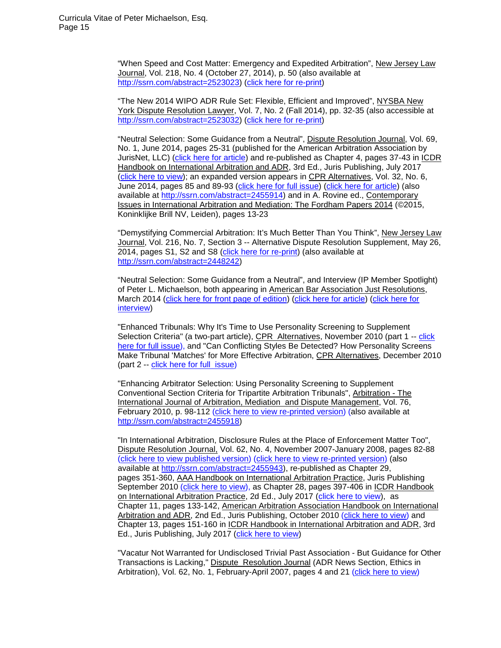"When Speed and Cost Matter: Emergency and Expedited Arbitration", New Jersey Law Journal, Vol. 218, No. 4 (October 27, 2014), p. 50 (also available at [http://ssrn.com/abstract=2523023\)](http://ssrn.com/abstract=2523023) [\(click here for re-print\)](http://www.mandw.com/PUBLICATIONS/NJLJ-Emerg-Relief(102714).pdf)

"The New 2014 WIPO ADR Rule Set: Flexible, Efficient and Improved", NYSBA New York Dispute Resolution Lawyer, Vol. 7, No. 2 (Fall 2014), pp. 32-35 (also accessible at [http://ssrn.com/abstract=2523032\)](http://ssrn.com/abstract=2523032) [\(click here for re-print\)](http://www.mandw.com/PUBLICATIONS/NYSBA_NY_DR_Lawyer-2014_WIPO_ADR_Rules(Fall-2014).pdf)

"Neutral Selection: Some Guidance from a Neutral", Dispute Resolution Journal, Vol. 69, No. 1, June 2014, pages 25-31 (published for the American Arbitration Association by JurisNet, LLC) [\(click here for article\)](http://www.mandw.com/PUBLICATIONS/Dispute_Res_Journal-Vol69_No1-Michaelson.pdf) and re-published as Chapter 4, pages 37-43 in ICDR Handbook on International Arbitration and ADR, 3rd Ed., Juris Publishing, July 2017 [\(click here to view\)](http://www.mandw.com/PUBLICATIONS/HIAA3-2017-Ch4-Neutral-Selection(Michaelson).pdf); an expanded version appears in CPR Alternatives, Vol. 32, No. 6, June 2014, pages 85 and 89-93 [\(click here for full issue\)](http://www.mandw.com/PUBLICATIONS/CPR-Alternatives-June-2014.pdf) [\(click here for article\)](http://www.mandw.com/PUBLICATIONS/CPR-Alternatives-June-2014(Michaelson-article).pdf) (also available at [http://ssrn.com/abstract=2455914\)](http://ssrn.com/abstract=2455914) and in A. Rovine ed., Contemporary Issues in International Arbitration and Mediation: The Fordham Papers 2014 (©2015, Koninklijke Brill NV, Leiden), pages 13-23

"Demystifying Commercial Arbitration: It's Much Better Than You Think", New Jersey Law Journal, Vol. 216, No. 7, Section 3 -- Alternative Dispute Resolution Supplement, May 26, 2014, pages S1, S2 and S8 [\(click here for re-print\)](http://www.mandw.com/PUBLICATIONS/NJLJ_052614-reprint-Michaelson.pdf) (also available at [http://ssrn.com/abstract=2448242\)](http://ssrn.com/abstract=2448242)

"Neutral Selection: Some Guidance from a Neutral", and Interview (IP Member Spotlight) of Peter L. Michaelson, both appearing in American Bar Association Just Resolutions, March 2014 [\(click here for front page of edition\)](http://www.mandw.com/PUBLICATIONS/ABA-Just-Resolutions_March-2014(IP_issue)(home_page).pdf) [\(click here for article\)](http://www.mandw.com/PUBLICATIONS/Michaelson_article_Just_Resolutions(March_2014).pdf) [\(click here for](http://www.mandw.com/PUBLICATIONS/Michaelson_interview_Just_Resolutions(March_2014).pdf)  [interview\)](http://www.mandw.com/PUBLICATIONS/Michaelson_interview_Just_Resolutions(March_2014).pdf)

"Enhanced Tribunals: Why It's Time to Use Personality Screening to Supplement Selection Criteria" (a two-part article), CPR Alternatives, November 2010 (part 1 -- [click](http://www.mandw.com/PUBLICATIONS/CPR%20Alternatives%20Nov%202010%20%28full%20issue%29.pdf)  [here for full issue\)](http://www.mandw.com/PUBLICATIONS/CPR%20Alternatives%20Nov%202010%20%28full%20issue%29.pdf), and "Can Conflicting Styles Be Detected? How Personality Screens Make Tribunal 'Matches' for More Effective Arbitration, CPR Alternatives, December 2010 (part 2 -- [click here for full issue\)](http://www.mandw.com/PUBLICATIONS/CPR%20Alternatives%20Dec%202010%20%28full%20issue%29.pdf)

"Enhancing Arbitrator Selection: Using Personality Screening to Supplement Conventional Section Criteria for Tripartite Arbitration Tribunals", Arbitration - The International Journal of Arbitration, Mediation and Dispute Management, Vol. 76, February 2010, p. 98-112 [\(click here to view re-printed version\)](http://www.mandw.com/PUBLICATIONS/CIArb%20-%20Enhancing%20Arbitrator%20Selection%20%282010%20-%2076%20Arbitration%2098--112%29.pdf) (also available at [http://ssrn.com/abstract=2455918\)](http://ssrn.com/abstract=2455918)

"In International Arbitration, Disclosure Rules at the Place of Enforcement Matter Too", Dispute Resolution Journal, Vol. 62, No. 4, November 2007-January 2008, pages 82-88 [\(click here to view published version\)](http://www.mandw.com/PUBLICATIONS/AAA%20Dispute%20Resolution%20Journal%20Article%20%28Nov%202007%20-%20published%20version%29.pdf) [\(click here to view re-printed version\)](http://www.mandw.com/PUBLICATIONS/AAA%20Dispute%20Resolution%20Journal%20Article%20%28Nov%202007%20-%20re-printed%20version%29.pdf) (also available at [http://ssrn.com/abstract=2455943\)](http://ssrn.com/abstract=2455943), re-published as Chapter 29, pages 351-360, AAA Handbook on International Arbitration Practice, Juris Publishing September 2010 [\(click here to view\)](http://www.mandw.com/PUBLICATIONS/AAA%20Int%20Arb%20Practice%20Handbook-Chapter%2029.pdf), as Chapter 28, pages 397-406 in ICDR Handbook on International Arbitration Practice, 2d Ed., July 2017 [\(click here to view\)](http://www.mandw.com/PUBLICATIONS/HIAP2-2017-Ch28-Intl-Arbitration-Disclosure-Rules(Michaelson).pdf), as Chapter 11, pages 133-142, American Arbitration Association Handbook on International Arbitration and ADR, 2nd Ed., Juris Publishing, October 2010 [\(click here to view\)](http://www.mandw.com/PUBLICATIONS/AAA%20Int%20Arb%20and%20ADR%20Handbook%202nd%20ed-Chapter%2011.pdf) and Chapter 13, pages 151-160 in ICDR Handbook in International Arbitration and ADR, 3rd Ed., Juris Publishing, July 2017 [\(click here to view\)](http://www.mandw.com/PUBLICATIONS/HIAA3-2017-Ch13-Disclosure-Rules-at-Place-of-Enforcement(Michaelson).pdf)

"Vacatur Not Warranted for Undisclosed Trivial Past Association - But Guidance for Other Transactions is Lacking," Dispute Resolution Journal (ADR News Section, Ethics in Arbitration), Vol. 62, No. 1, February-April 2007, pages 4 and 21 [\(click here to view\)](http://www.mandw.com/PUBLICATIONS/Vacatur%20Not%20Warranted%20--%20AAA%20Dispute%20Resolution%20Journal%20Article%20%28Feb-Apr%202007%29.pdf)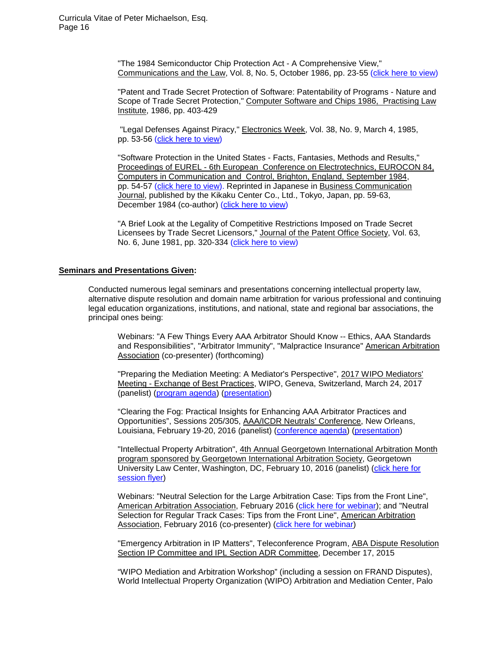"The 1984 Semiconductor Chip Protection Act - A Comprehensive View," Communications and the Law, Vol. 8, No. 5, October 1986, pp. 23-55 [\(click here to view\)](http://www.mandw.com/PUBLICATIONS/Communications%20and%20the%20Law%20-%20Oct%201986%20-%20pp%2023-55.pdf)

"Patent and Trade Secret Protection of Software: Patentability of Programs - Nature and Scope of Trade Secret Protection," Computer Software and Chips 1986, Practising Law Institute, 1986, pp. 403-429

"Legal Defenses Against Piracy," Electronics Week, Vol. 38, No. 9, March 4, 1985, pp. 53-56 [\(click here to view\)](http://www.mandw.com/PUBLICATIONS/Electronics%20Week%20-%20Mar%201985%20-%20pp%2053-56.pdf)

"Software Protection in the United States - Facts, Fantasies, Methods and Results," Proceedings of EUREL - 6th European Conference on Electrotechnics, EUROCON 84, Computers in Communication and Control, Brighton, England, September 1984, pp. 54-57 [\(click here to view\)](http://www.mandw.com/PUBLICATIONS/EUROCON%2084%20-%20Sept%201984%20-%20pp%2054-57.pdf). Reprinted in Japanese in Business Communication Journal, published by the Kikaku Center Co., Ltd., Tokyo, Japan, pp. 59-63, December 1984 (co-author) [\(click here to view\)](http://www.mandw.com/PUBLICATIONS/Business%20Communication%20Journal%20-%20Dec%201984%20-%20pp%2059-63.pdf)

"A Brief Look at the Legality of Competitive Restrictions Imposed on Trade Secret Licensees by Trade Secret Licensors," Journal of the Patent Office Society, Vol. 63, No. 6, June 1981, pp. 320-334 [\(click here to view\)](http://www.mandw.com/PUBLICATIONS/Journal%20of%20Patent%20Office%20Society%20-%20June%201981%20-%20pp%20320-334.pdf)

#### **Seminars and Presentations Given:**

Conducted numerous legal seminars and presentations concerning intellectual property law, alternative dispute resolution and domain name arbitration for various professional and continuing legal education organizations, institutions, and national, state and regional bar associations, the principal ones being:

Webinars: "A Few Things Every AAA Arbitrator Should Know -- Ethics, AAA Standards and Responsibilities", "Arbitrator Immunity", "Malpractice Insurance" American Arbitration Association (co-presenter) (forthcoming)

"Preparing the Mediation Meeting: A Mediator's Perspective", 2017 WIPO Mediators' Meeting - Exchange of Best Practices, WIPO, Geneva, Switzerland, March 24, 2017 (panelist) [\(program agenda\)](http://www.mandw.com/PRESENTATIONS/WIPO_Mediators_Meeting_Program(032417).pdf) [\(presentation\)](http://www.mandw.com/PRESENTATIONS/WIPO-MediatorsMtg(Michaelson_presentation)(032417)(final).pdf)

"Clearing the Fog: Practical Insights for Enhancing AAA Arbitrator Practices and Opportunities", Sessions 205/305, AAA/ICDR Neutrals' Conference, New Orleans, Louisiana, February 19-20, 2016 (panelist) [\(conference agenda\)](http://www.mandw.com/PRESENTATIONS/2016_AAA-ICDR_Neutrals) [\(presentation\)](http://www.mandw.com/PRESENTATIONS/AAA-Clearing-the-Fog-presentation(02-2016).pptx)

"Intellectual Property Arbitration", 4th Annual Georgetown International Arbitration Month program sponsored by Georgetown International Arbitration Society, Georgetown University Law Center, Washington, DC, February 10, 2016 (panelist) [\(click here for](http://www.mandw.com/PRESENTATIONS/Georgetown_IAM_IP-Arb-Flyer(02102016).JPG)  [session flyer\)](http://www.mandw.com/PRESENTATIONS/Georgetown_IAM_IP-Arb-Flyer(02102016).JPG)

Webinars: "Neutral Selection for the Large Arbitration Case: Tips from the Front Line", American Arbitration Association, February 2016 [\(click here for webinar\)](https://www.aaau.org/courses/neutral-selection-for-the-large-arbitration-case-tips-from-the-front-line/15prw027/); and "Neutral Selection for Regular Track Cases: Tips from the Front Line", American Arbitration Association, February 2016 (co-presenter) [\(click here for webinar\)](https://www.aaau.org/courses/neutral-selection-for-regular-track-cases-tips-from-the-front-line/15prw033/)

"Emergency Arbitration in IP Matters", Teleconference Program, ABA Dispute Resolution Section IP Committee and IPL Section ADR Committee, December 17, 2015

"WIPO Mediation and Arbitration Workshop" (including a session on FRAND Disputes), World Intellectual Property Organization (WIPO) Arbitration and Mediation Center, Palo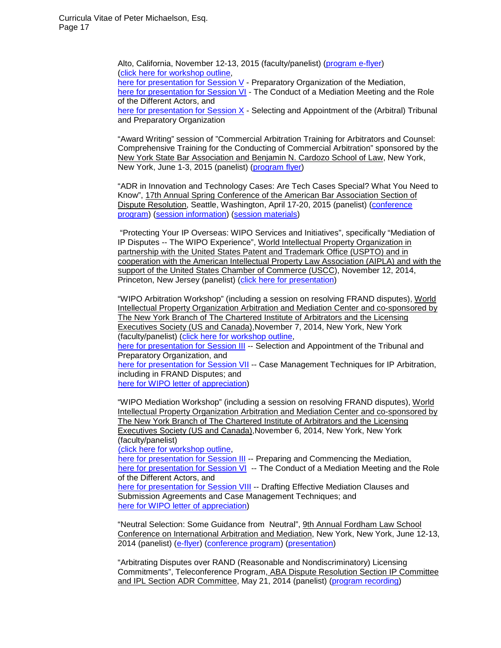Alto, California, November 12-13, 2015 (faculty/panelist) [\(program e-flyer\)](http://www.mandw.com/PRESENTATIONS/2015-WIPO_Med_and_Arb_Workshops(CAL-112015)(e-flyer).pdf) [\(click here for workshop outline,](http://www.mandw.com/PRESENTATIONS/WIPO_Arb-Med_Workshop_Program(11-2015).pdf) [here for presentation for Session V](http://www.mandw.com/PRESENTATIONS/WIPO_Arb-Med_Workshop_Session_5(11-12-2015).pdf) - Preparatory Organization of the Mediation, [here for presentation for Session VI](http://www.mandw.com/PRESENTATIONS/WIPO_Arb-Med_Workshop_Session_6(11-12-2015).pdf) - The Conduct of a Mediation Meeting and the Role of the Different Actors, and [here for presentation for Session X](http://www.mandw.com/PRESENTATIONS/WIPO_Arb-Med_Workshop_Session_10(11-12-2015).pdf) - Selecting and Appointment of the (Arbitral) Tribunal and Preparatory Organization

"Award Writing" session of "Commercial Arbitration Training for Arbitrators and Counsel: Comprehensive Training for the Conducting of Commercial Arbitration" sponsored by the New York State Bar Association and Benjamin N. Cardozo School of Law, New York, New York, June 1-3, 2015 (panelist) [\(program flyer\)](http://www.mandw.com/PRESENTATIONS/2015-NYSBA_Arb_Training_Program_Brochure(final).pdf)

"ADR in Innovation and Technology Cases: Are Tech Cases Special? What You Need to Know", 17th Annual Spring Conference of the American Bar Association Section of Dispute Resolution, Seattle, Washington, April 17-20, 2015 (panelist) [\(conference](http://www.mandw.com/PRESENTATIONS/ABA-Seattle-DR_Ann_Mtg_Program-04-2015.pdf)  [program\)](http://www.mandw.com/PRESENTATIONS/ABA-Seattle-DR_Ann_Mtg_Program-04-2015.pdf) [\(session information\)](http://www.mandw.com/PRESENTATIONS/ABA-DR_ADR-Innovation_Tech_Cases-session(041615).pdf) [\(session materials\)](http://www.mandw.com/PRESENTATIONS/ABA-DR_ADR-Innovation_Tech_Cases-session(materials)(041615).pdf)

"Protecting Your IP Overseas: WIPO Services and Initiatives", specifically "Mediation of IP Disputes -- The WIPO Experience", World Intellectual Property Organization in partnership with the United States Patent and Trademark Office (USPTO) and in cooperation with the American Intellectual Property Law Association (AIPLA) and with the support of the United States Chamber of Commerce (USCC), November 12, 2014, Princeton, New Jersey (panelist) [\(click here for presentation\)](http://www.mandw.com/PRESENTATIONS/WIPO-Mediation_presentation(111214).pdf)

"WIPO Arbitration Workshop" (including a session on resolving FRAND disputes), World Intellectual Property Organization Arbitration and Mediation Center and co-sponsored by The New York Branch of The Chartered Institute of Arbitrators and the Licensing Executives Society (US and Canada),November 7, 2014, New York, New York (faculty/panelist) [\(click here for workshop outline,](http://www.mandw.com/PRESENTATIONS/WIPO_Arbitration_Workshop_Program(110714).pdf)

[here for presentation for Session III](http://www.mandw.com/PRESENTATIONS/WIPO_Arbitration_Workshop_Session_3(110714).pdf) -- Selection and Appointment of the Tribunal and Preparatory Organization, and

[here for presentation for Session VII](http://www.mandw.com/PRESENTATIONS/WIPO_Arbitration_Workshop_Session_7(110714).pdf) -- Case Management Techniques for IP Arbitration, including in FRAND Disputes; and

[here for WIPO letter of appreciation\)](http://www.mandw.com/PRESENTATIONS/WIPO-ltr-appreciation(NYCworkshops)(120514).pdf)

"WIPO Mediation Workshop" (including a session on resolving FRAND disputes), World Intellectual Property Organization Arbitration and Mediation Center and co-sponsored by The New York Branch of The Chartered Institute of Arbitrators and the Licensing Executives Society (US and Canada),November 6, 2014, New York, New York (faculty/panelist)

(click here [for workshop outline,](http://www.mandw.com/PRESENTATIONS/WIPO_Mediation_Workshop_Program(110614).pdf)

[here for presentation for Session III](http://www.mandw.com/PRESENTATIONS/WIPO_Mediation_Workshop_Session_3(110614).pdf) -- Preparing and Commencing the Mediation, here for presentation for Session VI -- The Conduct of a Mediation Meeting and the Role of the Different Actors, and here for presentation for Session VIII -- Drafting Effective Mediation Clauses and Submission Agreements and Case Management Techniques; and [here for WIPO letter of appreciation\)](http://www.mandw.com/PRESENTATIONS/WIPO-ltr-appreciation(NYCworkshops)(120514).pdf)

"Neutral Selection: Some Guidance from Neutral", 9th Annual Fordham Law School Conference on International Arbitration and Mediation, New York, New York, June 12-13, 2014 (panelist) [\(e-flyer\)](http://www.mandw.com/PRESENTATIONS/Intl-Arb-Med-Conf-Fordham_Law(06-2014)(e-flyer).pdf) [\(conference program\)](http://www.mandw.com/PRESENTATIONS/Int-Arb-Med-conf_06-2014_full-program(final).pdf) [\(presentation\)](http://www.mandw.com/PRESENTATIONS/P_L_Michaelson-Fordham-9CIAM-presentation(061314)(complete).pdf)

"Arbitrating Disputes over RAND (Reasonable and Nondiscriminatory) Licensing Commitments", Teleconference Program, ABA Dispute Resolution Section IP Committee and IPL Section ADR Committee, May 21, 2014 (panelist) [\(program recording\)](http://www2.eintercall.com/moderator/presentation/Playback?id=1ad16597-38e2-47b7-a6ca-806b67fa9dbb.rpm)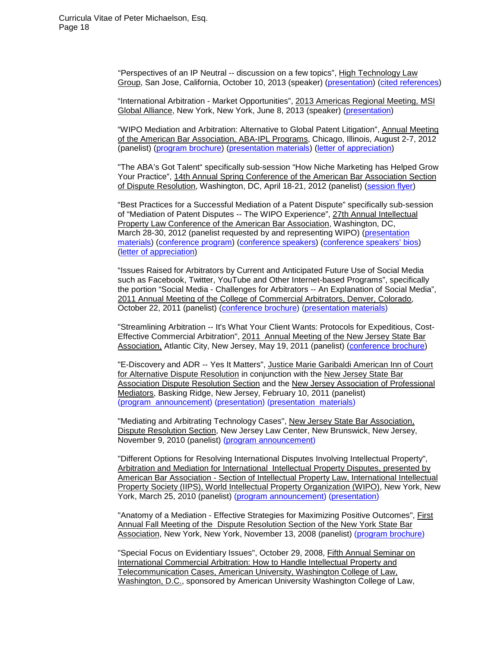"Perspectives of an IP Neutral -- discussion on a few topics", High Technology Law Group, San Jose, California, October 10, 2013 (speaker) [\(presentation\)](http://www.mandw.com/PRESENTATIONS/P_L_Michaelson-HTLG_IP-ADR_presentation(101013).pptx) [\(cited references\)](http://www.mandw.com/PRESENTATIONS/PLMichaelson_IP-ADR_references(HTLG)(101013).zip)

"International Arbitration - Market Opportunities", 2013 Americas Regional Meeting, MSI Global Alliance, New York, New York, June 8, 2013 (speaker) [\(presentation\)](http://www.mandw.com/PRESENTATIONS/2013_Intl_Arb-MSI(060813).pptx)

"WIPO Mediation and Arbitration: Alternative to Global Patent Litigation", Annual Meeting of the American Bar Association, ABA-IPL Programs, Chicago, Illinois, August 2-7, 2012 (panelist) [\(program brochure\)](http://www.mandw.com/PRESENTATIONS/ABA_2012_Ann_Mtg_IPL_brochure.pdf) [\(presentation materials\)](http://www.mandw.com/PRESENTATIONS/PLMichaelson-2012_ABA_Ann_Mtg-WIPO_Pat_Med_presentation(080312).pptx) [\(letter of appreciation\)](http://www.mandw.com/COMMENDATIONS/ABA_letter_(9-19-12)_2012_Annual_Meeting.pdf)

"The ABA's Got Talent" specifically sub-session "How Niche Marketing has Helped Grow Your Practice", 14th Annual Spring Conference of the American Bar Association Section of Dispute Resolution, Washington, DC, April 18-21, 2012 (panelist) [\(session](http://www.mandw.com/presentations/ABAGotTalent_flyer(042012).JPG) flyer)

"Best Practices for a Successful Mediation of a Patent Dispute" specifically sub-session of "Mediation of Patent Disputes -- The WIPO Experience", 27th Annual Intellectual Property Law Conference of the American Bar Association, Washington, DC, March 28-30, 2012 (panelist requested by and representing WIPO) [\(presentation](http://www.mandw.com/presentations/PLMichaelson_ABA_IPL-WIPO_Pat_Med_presentation(033012).pdf)  [materials\)](http://www.mandw.com/presentations/PLMichaelson_ABA_IPL-WIPO_Pat_Med_presentation(033012).pdf) [\(conference](http://www.mandw.com/presentations/ABA_IPL_27th_Annual_Mtg-Program_Sched(03-2012).pdf) program) [\(conference speakers\)](http://www.mandw.com/presentations/ABA_IPL_27th_Annual_Mtg-Speakers(03-2012).pdf) [\(conference speakers' bios\)](http://www.mandw.com/presentations/ABA_IPL_27th_Annual_Mtg-Speakers_Bios(03-2012).pdf) [\(letter of appreciation\)](http://www.mandw.com/COMMENDATIONS/ABA_letter_(4-16-12)_Annual_IP_Law_Conference.pdf)

"Issues Raised for Arbitrators by Current and Anticipated Future Use of Social Media such as Facebook, Twitter, YouTube and Other Internet-based Programs", specifically the portion "Social Media - Challenges for Arbitrators -- An Explanation of Social Media", 2011 Annual Meeting of the College of Commercial Arbitrators, Denver, Colorado, October 22, 2011 (panelist) [\(conference brochure\)](http://www.mandw.com/PRESENTATIONS/CCA_Fall_2011_Ann_Mtg_Brochure.pdf) [\(presentation materials\)](http://www.mandw.com/PRESENTATIONS/CCA_Social_Media(10-22-11).pdf)

"Streamlining Arbitration -- It's What Your Client Wants: Protocols for Expeditious, Cost-Effective Commercial Arbitration", 2011 Annual Meeting of the New Jersey State Bar Association, Atlantic City, New Jersey, May 19, 2011 (panelist) [\(conference brochure\)](http://www.mandw.com/PRESENTATIONS/NJSBA_2011_Ann_Mtg_Program.pdf)

"E-Discovery and ADR -- Yes It Matters", Justice Marie Garibaldi American Inn of Court for Alternative Dispute Resolution in conjunction with the New Jersey State Bar Association Dispute Resolution Section and the New Jersey Association of Professional Mediators, Basking Ridge, New Jersey, February 10, 2011 (panelist) (program [announcement\)](http://www.mandw.com/PRESENTATIONS/Program%20Announcement--Garibaldi%20Inn-2_10_11_001.pdf) [\(presentation\)](http://www.mandw.com/PRESENTATIONS/PLM%20E-disc%20arb%20presentation%20%28021011%29.pptx) [\(presentation materials\)](http://www.mandw.com/PRESENTATIONS/PLMichaelson%20E-disc%20in%20Arb%20021011%20presentation%20materials.zip)

"Mediating and Arbitrating Technology Cases", New Jersey State Bar Association, Dispute Resolution Section, New Jersey Law Center, New Brunswick, New Jersey, November 9, 2010 (panelist) [\(program announcement\)](http://www.mandw.com/PRESENTATIONS/NJSBA%20IP%20ADR%20flyer%20%28110910%29.pdf)

"Different Options for Resolving International Disputes Involving Intellectual Property", Arbitration and Mediation for International Intellectual Property Disputes, presented by American Bar Association - Section of Intellectual Property Law, International Intellectual Property Society (IIPS), World Intellectual Property Organization (WIPO), New York, New York, March 25, 2010 (panelist) [\(program announcement\)](http://www.mandw.com/PRESENTATIONS/ABA-IPL%20CLE%20PROGRAM%20%283-25-10%29.pdf) [\(presentation\)](http://www.mandw.com/PRESENTATIONS/PLM-presentation%20ABA-WIPO-IIPS%20%2803-25-2010%29%28pub%20ver%29.pdf)

"Anatomy of a Mediation - Effective Strategies for Maximizing Positive Outcomes", First Annual Fall Meeting of the Dispute Resolution Section of the New York State Bar Association, New York, New York, November 13, 2008 (panelist) [\(program brochure\)](http://www.mandw.com/PRESENTATIONS/2008%20NYSBA%20DR%20fall%20ann%20mtg%20program%20brochure%20%28100708%29.pdf)

"Special Focus on Evidentiary Issues", October 29, 2008, Fifth Annual Seminar on International Commercial Arbitration: How to Handle Intellectual Property and Telecommunication Cases, American University, Washington College of Law, Washington, D.C., sponsored by American University Washington College of Law,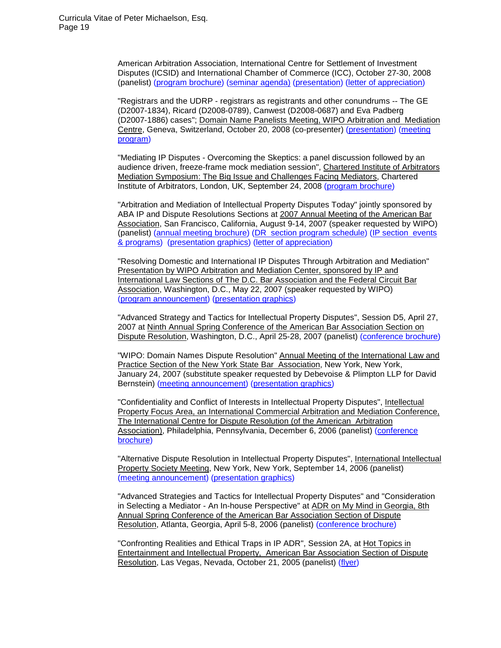American Arbitration Association, International Centre for Settlement of Investment Disputes (ICSID) and International Chamber of Commerce (ICC), October 27-30, 2008 (panelist) (program [brochure\)](http://www.mandw.com/PRESENTATIONS/WCL-Arbitration%20Annual%20Seminar_%20How%20to%20Handle%20IP-Telecom%20Cases-program%2808052008%29.pdf) [\(seminar agenda\)](http://www.mandw.com/PRESENTATIONS/2008%20Annual%20Seminar%20Agenda%20%28Oct%2027-30%202008%29.pdf) [\(presentation\)](http://www.mandw.com/PRESENTATIONS/WCL-Arbitration%20Annual%20Seminar_%20How%20to%20Handle%20IP-Telecom%20Cases-program%2808052008%29.pdf) [\(letter of appreciation\)](http://www.mandw.com/COMMENDATIONS/American%20University%20Washington%20College%20of%20Law%20letter%20of%20appreciation%20%2811-10-08%29.pdf)

"Registrars and the UDRP - registrars as registrants and other conundrums -- The GE (D2007-1834), Ricard (D2008-0789), Canwest (D2008-0687) and Eva Padberg (D2007-1886) cases"; Domain Name Panelists Meeting, WIPO Arbitration and Mediation Centre, Geneva, Switzerland, October 20, 2008 (co-presenter) [\(presentation\)](http://www.mandw.com/PRESENTATIONS/WIPO%20presentation%20October%2020%202008.ppt) [\(meeting](http://www.mandw.com/PRESENTATIONS/WIPO%20Domain%20Name%20Panelists%20Meeting%2010-20-08.pdf)  [program\)](http://www.mandw.com/PRESENTATIONS/WIPO%20Domain%20Name%20Panelists%20Meeting%2010-20-08.pdf)

"Mediating IP Disputes - Overcoming the Skeptics: a panel discussion followed by an audience driven, freeze-frame mock mediation session", Chartered Institute of Arbitrators Mediation Symposium: The Big Issue and Challenges Facing Mediators, Chartered Institute of Arbitrators, London, UK, September 24, 2008 [\(program brochure\)](http://www.mandw.com/PRESENTATIONS/CIArb%20Med%20Symp%20program%20announcement%20--%20%289-24-08%29.pdf)

"Arbitration and Mediation of Intellectual Property Disputes Today" jointly sponsored by ABA IP and Dispute Resolutions Sections at 2007 Annual Meeting of the American Bar Association, San Francisco, California, August 9-14, 2007 (speaker requested by WIPO) (panelist) [\(annual meeting brochure\)](http://www.mandw.com/PRESENTATIONS/2007%20ABA%20SF%20GeneralForm.pdf) [\(DR section program schedule\)](http://www.mandw.com/PRESENTATIONS/2007%20ABA%20Annual%20Mtg%20--%20DR%20program%20schedule.pdf) (IP [section events](http://www.mandw.com/PRESENTATIONS/2007%20ABA%20Annual%20Mtg%20--%20IP%20event-program%20schedule.pdf)  [& programs\)](http://www.mandw.com/PRESENTATIONS/2007%20ABA%20Annual%20Mtg%20--%20IP%20event-program%20schedule.pdf) [\(presentation graphics\)](http://www.mandw.com/PRESENTATIONS/2007%20ABA%20Annual%20Mtg%20--%20presentation%20graphics.pdf) [\(letter of appreciation\)](http://www.mandw.com/PRESENTATIONS/ABA%20Letter%20of%20Appreciation.pdf)

"Resolving Domestic and International IP Disputes Through Arbitration and Mediation" Presentation by WIPO Arbitration and Mediation Center, sponsored by IP and International Law Sections of The D.C. Bar Association and the Federal Circuit Bar Association, Washington, D.C., May 22, 2007 (speaker requested by WIPO) (program [announcement\)](http://www.mandw.com/PRESENTATIONS/DC%20Bar%20Arbitration-Mediation%20Luncheon%20Program%205-22-07.pdf) [\(presentation graphics\)](http://www.mandw.com/PRESENTATIONS/Presentation--WashingtonDC-IDCMay072007.pdf)

"Advanced Strategy and Tactics for Intellectual Property Disputes", Session D5, April 27, 2007 at Ninth Annual Spring Conference of the American Bar Association Section on Dispute Resolution, Washington, D.C., April 25-28, 2007 (panelist) [\(conference](http://www.mandw.com/PRESENTATIONS/ABA%20DR%202007%20Conference%20Brochure%20%28April%2025-28%202007%29.pdf) brochure)

"WIPO: Domain Names Dispute Resolution" Annual Meeting of the International Law and Practice Section of the New York State Bar Association, New York, New York, January 24, 2007 (substitute speaker requested by Debevoise & Plimpton LLP for David Bernstein) [\(meeting announcement](http://www.mandw.com/PRESENTATIONS/ILPAMProg2007%20%281-24-07%29.pdf)) [\(presentation graphics\)](http://www.mandw.com/PRESENTATIONS/NYSBA%20IPL%20--%20Presentation%20%2001242007%20re%20WIPO%20and%20UDRP.pdf)

"Confidentiality and Conflict of Interests in Intellectual Property Disputes", Intellectual Property Focus Area, an International Commercial Arbitration and Mediation Conference, The International Centre for Dispute Resolution (of the American Arbitration Association), Philadelphia, Pennsylvania, December 6, 2006 (panelist) [\(conference](http://www.mandw.com/PRESENTATIONS/ICDR%20of%20the%20ABA%20Program%20--%20Dec%206%202006.pdf)  [brochure\)](http://www.mandw.com/PRESENTATIONS/ICDR%20of%20the%20ABA%20Program%20--%20Dec%206%202006.pdf)

"Alternative Dispute Resolution in Intellectual Property Disputes", International Intellectual Property Society Meeting, New York, New York, September 14, 2006 (panelist) (meeting [announcement\)](http://www.mandw.com/PRESENTATIONS/IIPS%20--%20ADR%20in%20IP%20Disputes%20--%20Sept%2014%202006.pdf) [\(presentation graphics\)](http://www.mandw.com/PRESENTATIONS/IIPS-IDCSept06.pdf)

"Advanced Strategies and Tactics for Intellectual Property Disputes" and "Consideration in Selecting a Mediator - An In-house Perspective" at ADR on My Mind in Georgia, 8th Annual Spring Conference of the American Bar Association Section of Dispute Resolution, Atlanta, Georgia, April 5-8, 2006 (panelist) [\(conference](http://www.mandw.com/PRESENTATIONS/ABA%20Spring%20Conf%20--%20April%205-8%202006.pdf) brochure)

"Confronting Realities and Ethical Traps in IP ADR", Session 2A, at Hot Topics in Entertainment and Intellectual Property, American Bar Association Section of Dispute Resolution, Las Vegas, Nevada, October 21, 2005 (panelist) [\(flyer\)](http://www.mandw.com/PRESENTATIONS/ABA%20Section%20of%20Dispute%20Resolution%20-%20Oct%2021%202005.pdf)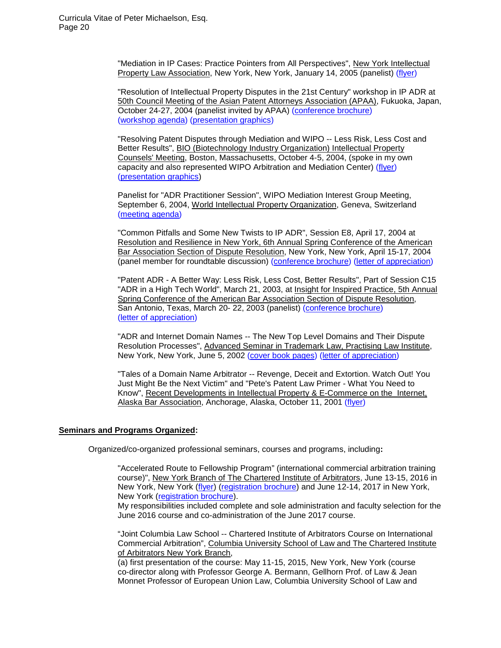"Mediation in IP Cases: Practice Pointers from All Perspectives", New York Intellectual Property Law Association, New York, New York, January 14, 2005 (panelist) [\(flyer\)](http://www.mandw.com/PRESENTATIONS/NYIPLA%20--%20Jan%2014%202005.pdf)

"Resolution of Intellectual Property Disputes in the 21st Century" workshop in IP ADR at 50th Council Meeting of the Asian Patent Attorneys Association (APAA), Fukuoka, Japan, October 24-27, 2004 (panelist invited by APAA) [\(conference brochure\)](http://www.mandw.com/PRESENTATIONS/APAA%2050th%20Council%20Brochure%20%28abbreviated%29%20--%20Oct%2024-27%202004.pdf) [\(workshop](http://www.mandw.com/PRESENTATIONS/APAA%2050th%20Council%20Meeting%20-%20Mock%20Case%20Workshop%20-%20Oct%2025%202004.pdf) agenda) [\(presentation graphics\)](http://www.mandw.com/PRESENTATIONS/APAA-PLM%20IP%20ADR%20presentation%20%2810-25-04%29.pdf)

"Resolving Patent Disputes through Mediation and WIPO -- Less Risk, Less Cost and Better Results", **BIO (Biotechnology Industry Organization) Intellectual Property** Counsels' Meeting, Boston, Massachusetts, October 4-5, 2004, (spoke in my own capacity and also represented WIPO Arbitration and Mediation Center) [\(flyer\)](http://www.mandw.com/PRESENTATIONS/BIO%20IP%20Counsels%20Meeting%20-%20Oct%204-5%202004.pdf) [\(presentation graphics\)](http://www.mandw.com/PRESENTATIONS/PLM-BIO%20pres%20file%20%2810-2004%29.pdf)

Panelist for "ADR Practitioner Session", WIPO Mediation Interest Group Meeting, September 6, 2004, World Intellectual Property Organization, Geneva, Switzerland [\(meeting agenda\)](http://www.mandw.com/PRESENTATIONS/WIPO%20MEDIATION%20INTEREST%20GROUP%20-%20Sep%206%202004%20%28first%20page%29.pdf)

"Common Pitfalls and Some New Twists to IP ADR", Session E8, April 17, 2004 at Resolution and Resilience in New York, 6th Annual Spring Conference of the American Bar Association Section of Dispute Resolution, New York, New York, April 15-17, 2004 (panel member for roundtable discussion) [\(conference brochure\)](http://www.mandw.com/PRESENTATIONS/6th%20Annual%20Spring%20Conf%20of%20the%20ABA%20-%20April%2015-17%202004.pdf) (letter of [appreciation\)](http://www.mandw.com/COMMENDATIONS/ABA%20letter%20%284-29-04%29%20Resolution%20and%20Resilience%20in%20NY%20%28April%2015-17%202004%29.pdf)

"Patent ADR - A Better Way: Less Risk, Less Cost, Better Results", Part of Session C15 "ADR in a High Tech World", March 21, 2003, at Insight for Inspired Practice, 5th Annual Spring Conference of the American Bar Association Section of Dispute Resolution, San Antonio, Texas, March 20- 22, 2003 (panelist) [\(conference brochure\)](http://www.mandw.com/PRESENTATIONS/5th%20Annual%20Spring%20Conf%20of%20ABA%20-%20March%2020-22%202003.pdf) (letter of [appreciation\)](http://www.mandw.com/COMMENDATIONS/ABA%20letter%284-1-03%29%20Insight%20for%20Inspired%20Practice%20%28San%20Antonio%29.pdf)

"ADR and Internet Domain Names -- The New Top Level Domains and Their Dispute Resolution Processes", Advanced Seminar in Trademark Law, Practising Law Institute, New York, New York, June 5, 2002 [\(cover book pages\)](http://www.mandw.com/PRESENTATIONS/PLI%20Course%20Handbook%20-%20contents%20page%20-%20June%205%202002%20%28ADR%20and%20Intenret%20Domain%20Names%20seminar%29.pdf) [\(letter of appreciation\)](http://www.mandw.com/COMMENDATIONS/PLI%20letter%20%284-16-02%29%20Advanced%20Seminar%20on%20Trademark%20Law%202002.pdf)

"Tales of a Domain Name Arbitrator -- Revenge, Deceit and Extortion. Watch Out! You Just Might Be the Next Victim" and "Pete's Patent Law Primer - What You Need to Know", Recent Developments in Intellectual Property & E-Commerce on the Internet, Alaska Bar Association, Anchorage, Alaska, October 11, 2001 [\(flyer\)](http://www.mandw.com/PRESENTATIONS/Alaska%20Bar%20Assoc%20Program%20--%20Oct%2011%202001.pdf)

# **Seminars and Programs Organized:**

Organized/co-organized professional seminars, courses and programs, including**:**

"Accelerated Route to Fellowship Program" (international commercial arbitration training course)", New York Branch of The Chartered Institute of Arbitrators, June 13-15, 2016 in New York, New York [\(flyer\)](http://www.mandw.com/COURSES/CIArb_NY_Branch_Columbia_Int) [\(registration brochure\)](http://www.mandw.com/COURSES/CIArb_NY_Branch_Columbia_Int) and June 12-14, 2017 in New York, New York [\(registration brochure\)](http://www.mandw.com/COURSES/CIArb_NY_Branch_June2017_Courses_Regis_Brochure(final-021217).pdf).

My responsibilities included complete and sole administration and faculty selection for the June 2016 course and co-administration of the June 2017 course.

"Joint Columbia Law School -- Chartered Institute of Arbitrators Course on International Commercial Arbitration", Columbia University School of Law and The Chartered Institute of Arbitrators New York Branch,

(a) first presentation of the course: May 11-15, 2015, New York, New York (course co-director along with Professor George A. Bermann, Gellhorn Prof. of Law & Jean Monnet Professor of European Union Law, Columbia University School of Law and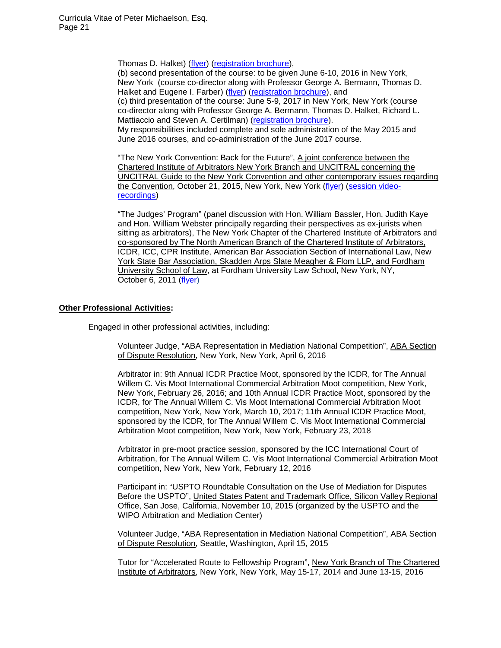Thomas D. Halket) [\(flyer\)](http://www.mandw.com/PRESENTATIONS/CIArbNY-Columbia_Intl_Arb_course_flyer(111014).pdf) [\(registration brochure\)](http://www.mandw.com/COURSES/CIArb_NY_Branch_Columbia_Int),

(b) second presentation of the course: to be given June 6-10, 2016 in New York, New York (course co-director along with Professor George A. Bermann, Thomas D. Halket and Eugene I. Farber) [\(flyer\)](http://www.mandw.com/COURSES/CIArb_NY_Branch_Columbia_Int) [\(registration brochure\)](http://www.mandw.com/COURSES/CIArb_NY_Branch_Columbia_Int), and

(c) third presentation of the course: June 5-9, 2017 in New York, New York (course co-director along with Professor George A. Bermann, Thomas D. Halket, Richard L. Mattiaccio and Steven A. Certilman) [\(registration brochure\)](http://www.mandw.com/COURSES/CIArb_NY_Branch_June2017_Courses_Regis_Brochure(final).pdf).

My responsibilities included complete and sole administration of the May 2015 and June 2016 courses, and co-administration of the June 2017 course.

"The New York Convention: Back for the Future", A joint conference between the Chartered Institute of Arbitrators New York Branch and UNCITRAL concerning the UNCITRAL Guide to the New York Convention and other contemporary issues regarding the Convention, October 21, 2015, New York, New York [\(flyer\)](http://www.mandw.com/CONFERENCES/CIArb-NY-Conf-Flyer-UNCITRAL(102115).pdf) [\(session video](http://www.ciarbny.org/chartered-institute-of-arbitrators-ny-branch-uncitral-conference/)[recordings\)](http://www.ciarbny.org/chartered-institute-of-arbitrators-ny-branch-uncitral-conference/)

"The Judges' Program" (panel discussion with Hon. William Bassler, Hon. Judith Kaye and Hon. William Webster principally regarding their perspectives as ex-jurists when sitting as arbitrators), The New York Chapter of the Chartered Institute of Arbitrators and co-sponsored by The North American Branch of the Chartered Institute of Arbitrators, ICDR, ICC, CPR Institute, American Bar Association Section of International Law, New York State Bar Association, Skadden Arps Slate Meagher & Flom LLP, and Fordham University School of Law, at Fordham University Law School, New York, NY, October 6, 2011 [\(flyer\)](http://www.mandw.com/PRESENTATIONS/CIArb-100611_program_flyer(final).pdf)

# **Other Professional Activities:**

Engaged in other professional activities, including:

Volunteer Judge, "ABA Representation in Mediation National Competition", ABA Section of Dispute Resolution, New York, New York, April 6, 2016

Arbitrator in: 9th Annual ICDR Practice Moot, sponsored by the ICDR, for The Annual Willem C. Vis Moot International Commercial Arbitration Moot competition, New York, New York, February 26, 2016; and 10th Annual ICDR Practice Moot, sponsored by the ICDR, for The Annual Willem C. Vis Moot International Commercial Arbitration Moot competition, New York, New York, March 10, 2017; 11th Annual ICDR Practice Moot, sponsored by the ICDR, for The Annual Willem C. Vis Moot International Commercial Arbitration Moot competition, New York, New York, February 23, 2018

Arbitrator in pre-moot practice session, sponsored by the ICC International Court of Arbitration, for The Annual Willem C. Vis Moot International Commercial Arbitration Moot competition, New York, New York, February 12, 2016

Participant in: "USPTO Roundtable Consultation on the Use of Mediation for Disputes Before the USPTO", United States Patent and Trademark Office, Silicon Valley Regional Office, San Jose, California, November 10, 2015 (organized by the USPTO and the WIPO Arbitration and Mediation Center)

Volunteer Judge, "ABA Representation in Mediation National Competition", ABA Section of Dispute Resolution, Seattle, Washington, April 15, 2015

Tutor for "Accelerated Route to Fellowship Program", New York Branch of The Chartered Institute of Arbitrators, New York, New York, May 15-17, 2014 and June 13-15, 2016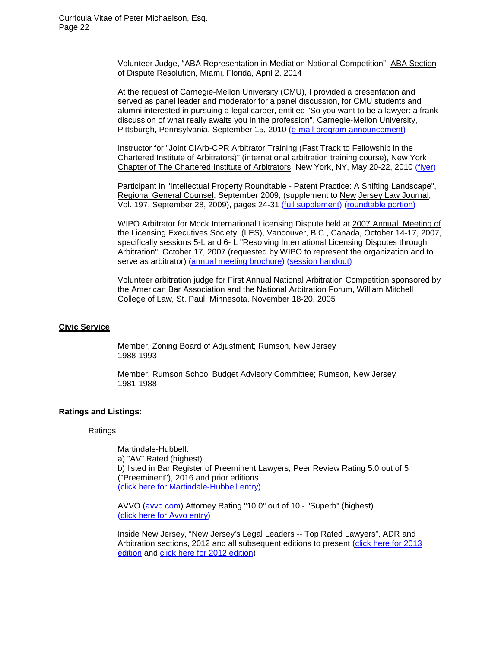Volunteer Judge, "ABA Representation in Mediation National Competition", ABA Section of Dispute Resolution, Miami, Florida, April 2, 2014

At the request of Carnegie-Mellon University (CMU), I provided a presentation and served as panel leader and moderator for a panel discussion, for CMU students and alumni interested in pursuing a legal career, entitled "So you want to be a lawyer: a frank discussion of what really awaits you in the profession", Carnegie-Mellon University, Pittsburgh, Pennsylvania, September 15, 2010 [\(e-mail program announcement\)](http://www.mandw.com/PRESENTATIONS/CMU%20Pre-law%20event%209-15-10.pdf)

Instructor for "Joint CIArb-CPR Arbitrator Training (Fast Track to Fellowship in the Chartered Institute of Arbitrators)" (international arbitration training course), New York Chapter of The Chartered Institute of Arbitrators, New York, NY, May 20-22, 2010 [\(flyer\)](http://www.mandw.com/PRESENTATIONS/2010%20CIArb-CPR%20arb%20program%20flyer.pdf)

Participant in "Intellectual Property Roundtable - Patent Practice: A Shifting Landscape", Regional General Counsel, September 2009, (supplement to New Jersey Law Journal, Vol. 197, September 28, 2009), pages 24-31 [\(full supplement\)](http://www.mandw.com/PRESENTATIONS/Roundtable%20--%20Sept%202009%20%28full%20supplement%29.pdf) ([roundtable portion\)](http://www.mandw.com/PRESENTATIONS/Roundtable%20--%20Sept%202009%20%28roundtable%20portion%29.pdf)

WIPO Arbitrator for Mock International Licensing Dispute held at 2007 Annual Meeting of the Licensing Executives Society (LES), Vancouver, B.C., Canada, October 14-17, 2007, specifically sessions 5-L and 6- L "Resolving International Licensing Disputes through Arbitration", October 17, 2007 (requested by WIPO to represent the organization and to serve as arbitrator) [\(annual meeting brochure\)](http://www.mandw.com/PRESENTATIONS/2007%20LES%20ANNUAL%20MEETING%20-%20VANCOUVER%20%28Oct.%2014-17%202007%29.pdf) [\(session](http://www.mandw.com/PRESENTATIONS/LES%202007%20annual%20meeting%20-%20mock%20arbitration.pdf) handout)

Volunteer arbitration judge for First Annual National Arbitration Competition sponsored by the American Bar Association and the National Arbitration Forum, William Mitchell College of Law, St. Paul, Minnesota, November 18-20, 2005

#### **Civic Service**

Member, Zoning Board of Adjustment; Rumson, New Jersey 1988-1993

Member, Rumson School Budget Advisory Committee; Rumson, New Jersey 1981-1988

#### **Ratings and Listings:**

Ratings:

Martindale-Hubbell: a) "AV" Rated (highest) b) listed in Bar Register of Preeminent Lawyers, Peer Review Rating 5.0 out of 5 ("Preeminent"), 2016 and prior editions [\(click here for Martindale-Hubbell entry\)](http://www.martindale.com/Peter-L-Michaelson/1117289-lawyer.htm?view=cr)

AVVO [\(avvo.com\)](http://avvo.com/) Attorney Rating "10.0" out of 10 - "Superb" (highest) [\(click here for Avvo entry\)](http://www.avvo.com/attorneys/07702-nj-peter-michaelson-1575849.html)

Inside New Jersey, "New Jersey's Legal Leaders -- Top Rated Lawyers", ADR and Arbitration sections, 2012 and all subsequent editions to present [\(click here for 2013](http://www.mandw.com/RATINGS/2013-NJ_Top_Rated_Lawyers(listings).pdf)  [edition](http://www.mandw.com/RATINGS/2013-NJ_Top_Rated_Lawyers(listings).pdf) and [click here for 2012 edition\)](http://www.mandw.com/RATINGS/2012-InsideNJ-top-legal-minds.pdf)